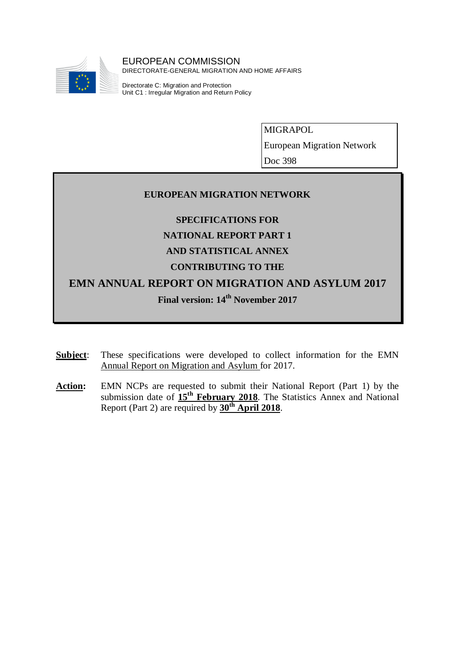

MIGRAPOL

European Migration Network

Doc 398

# **EUROPEAN MIGRATION NETWORK**

**SPECIFICATIONS FOR**

**NATIONAL REPORT PART 1**

# **AND STATISTICAL ANNEX**

# **CONTRIBUTING TO THE**

**EMN ANNUAL REPORT ON MIGRATION AND ASYLUM 2017**

**Final version: 14th November 2017**

- **Subject**: These specifications were developed to collect information for the EMN Annual Report on Migration and Asylum for 2017.
- Action: EMN NCPs are requested to submit their National Report (Part 1) by the submission date of **15th February 2018**. The Statistics Annex and National Report (Part 2) are required by **30th April 2018**.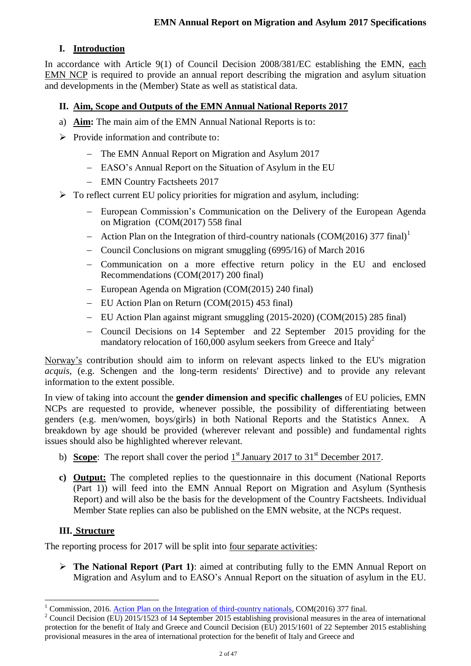# **I. Introduction**

In accordance with Article 9(1) of Council Decision 2008/381/EC establishing the EMN, each EMN NCP is required to provide an annual report describing the migration and asylum situation and developments in the (Member) State as well as statistical data.

# **II. Aim, Scope and Outputs of the EMN Annual National Reports 2017**

- a) **Aim:** The main aim of the EMN Annual National Reports is to:
- $\triangleright$  Provide information and contribute to:
	- The EMN Annual Report on Migration and Asylum 2017
	- EASO's Annual Report on the Situation of Asylum in the EU
	- EMN Country Factsheets 2017
- $\triangleright$  To reflect current EU policy priorities for migration and asylum, including:
	- European Commission's Communication on the Delivery of the European Agenda on Migration (COM(2017) 558 final
	- Action Plan on the Integration of third-country nationals (COM(2016) 377 final)<sup>1</sup>
	- Council Conclusions on migrant smuggling (6995/16) of March 2016
	- Communication on a more effective return policy in the EU and enclosed Recommendations (COM(2017) 200 final)
	- European Agenda on Migration (COM(2015) 240 final)
	- EU Action Plan on Return (COM(2015) 453 final)
	- EU Action Plan against migrant smuggling (2015-2020) (COM(2015) 285 final)
	- Council Decisions on 14 September and 22 September 2015 providing for the mandatory relocation of 160,000 asylum seekers from Greece and  $\text{Italy}^2$

Norway's contribution should aim to inform on relevant aspects linked to the EU's migration *acquis*, (e.g. Schengen and the long-term residents' Directive) and to provide any relevant information to the extent possible.

In view of taking into account the **gender dimension and specific challenges** of EU policies, EMN NCPs are requested to provide, whenever possible, the possibility of differentiating between genders (e.g. men/women, boys/girls) in both National Reports and the Statistics Annex. A breakdown by age should be provided (wherever relevant and possible) and fundamental rights issues should also be highlighted wherever relevant.

- b) **Scope**: The report shall cover the period  $1<sup>st</sup>$  January 2017 to 31<sup>st</sup> December 2017.
- **c) Output:** The completed replies to the questionnaire in this document (National Reports (Part 1)) will feed into the EMN Annual Report on Migration and Asylum (Synthesis Report) and will also be the basis for the development of the Country Factsheets. Individual Member State replies can also be published on the EMN website, at the NCPs request.

# **III. Structure**

The reporting process for 2017 will be split into four separate activities:

 **The National Report (Part 1)**: aimed at contributing fully to the EMN Annual Report on Migration and Asylum and to EASO's Annual Report on the situation of asylum in the EU.

<sup>&</sup>lt;u>.</u> <sup>1</sup> Commission, 2016. [Action Plan on the Integration of third-country nationals,](http://ec.europa.eu/dgs/home-affairs/what-we-do/policies/european-agenda-migration/proposal-implementation-package/docs/20160607/communication_action_plan_integration_third-country_nationals_en.pdf) COM(2016) 377 final.

<sup>&</sup>lt;sup>2</sup> [Council Decision \(EU\) 2015/1523](http://eur-lex.europa.eu/legal-content/EN/TXT/PDF/?uri=CELEX:32015D1523&from=EN) of 14 September 2015 establishing provisional measures in the area of international protection for the benefit of Italy and Greece an[d Council Decision \(EU\) 2015/1601](http://eur-lex.europa.eu/legal-content/EN/TXT/PDF/?uri=CELEX:32015D1601&from=EN) of 22 September 2015 establishing provisional measures in the area of international protection for the benefit of Italy and Greece and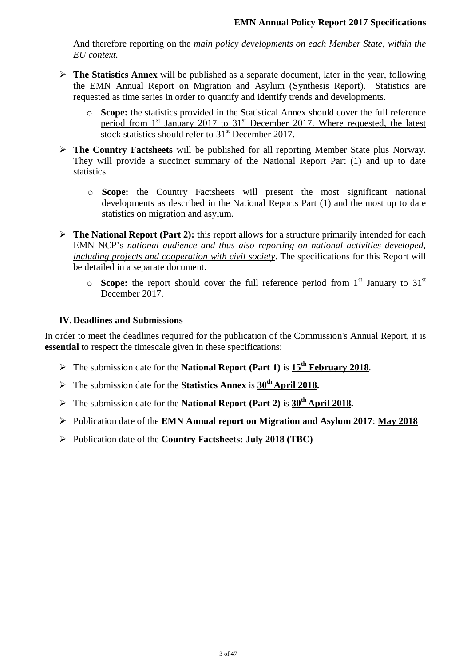And therefore reporting on the *main policy developments on each Member State*, *within the EU context.* 

- **The Statistics Annex** will be published as a separate document, later in the year, following the EMN Annual Report on Migration and Asylum (Synthesis Report). Statistics are requested as time series in order to quantify and identify trends and developments.
	- o **Scope:** the statistics provided in the Statistical Annex should cover the full reference period from  $1<sup>st</sup>$  January 2017 to  $31<sup>st</sup>$  December 2017. Where requested, the latest stock statistics should refer to  $31<sup>st</sup>$  December 2017.
- **The Country Factsheets** will be published for all reporting Member State plus Norway. They will provide a succinct summary of the National Report Part (1) and up to date statistics.
	- o **Scope:** the Country Factsheets will present the most significant national developments as described in the National Reports Part (1) and the most up to date statistics on migration and asylum.
- **The National Report (Part 2):** this report allows for a structure primarily intended for each EMN NCP's *national audience and thus also reporting on national activities developed, including projects and cooperation with civil society*. The specifications for this Report will be detailed in a separate document.
	- $\circ$  **Scope:** the report should cover the full reference period from 1<sup>st</sup> January to 31<sup>st</sup> December 2017.

# **IV. Deadlines and Submissions**

In order to meet the deadlines required for the publication of the Commission's Annual Report, it is **essential** to respect the timescale given in these specifications:

- The submission date for the **National Report (Part 1)** is **15th February 2018**.
- The submission date for the **Statistics Annex** is **30th April 2018.**
- The submission date for the **National Report (Part 2)** is **30th April 2018.**
- Publication date of the **EMN Annual report on Migration and Asylum 2017**: **May 2018**
- Publication date of the **Country Factsheets: July 2018 (TBC)**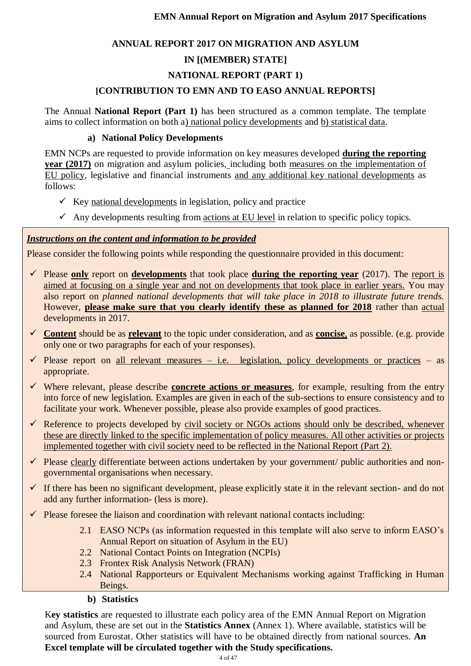# **ANNUAL REPORT 2017 ON MIGRATION AND ASYLUM**

# **IN [(MEMBER) STATE]**

# **NATIONAL REPORT (PART 1)**

# **[CONTRIBUTION TO EMN AND TO EASO ANNUAL REPORTS]**

The Annual **National Report (Part 1)** has been structured as a common template. The template aims to collect information on both a) national policy developments and b) statistical data.

# **a) National Policy Developments**

EMN NCPs are requested to provide information on key measures developed **during the reporting year (2017)** on migration and asylum policies, including both measures on the implementation of EU policy, legislative and financial instruments and any additional key national developments as follows:

- $\checkmark$  Key national developments in legislation, policy and practice
- $\checkmark$  Any developments resulting from actions at EU level in relation to specific policy topics.

# *Instructions on the content and information to be provided*

Please consider the following points while responding the questionnaire provided in this document:

- $\checkmark$  Please only report on **developments** that took place **during the reporting year** (2017). The report is aimed at focusing on a single year and not on developments that took place in earlier years. You may also report on *planned national developments that will take place in 2018 to illustrate future trends.*  However, **please make sure that you clearly identify these as planned for 2018** rather than actual developments in 2017.
- **Content** should be as **relevant** to the topic under consideration, and as **concise**, as possible. (e.g. provide only one or two paragraphs for each of your responses).
- $\checkmark$  Please report on all relevant measures i.e. legislation, policy developments or practices as appropriate.
- Where relevant, please describe **concrete actions or measures**, for example, resulting from the entry into force of new legislation. Examples are given in each of the sub-sections to ensure consistency and to facilitate your work. Whenever possible, please also provide examples of good practices.
- $\checkmark$  Reference to projects developed by civil society or NGOs actions should only be described, whenever these are directly linked to the specific implementation of policy measures. All other activities or projects implemented together with civil society need to be reflected in the National Report (Part 2).
- $\checkmark$  Please clearly differentiate between actions undertaken by your government/ public authorities and nongovernmental organisations when necessary.
- $\checkmark$  If there has been no significant development, please explicitly state it in the relevant section- and do not add any further information- (less is more).
- Please foresee the liaison and coordination with relevant national contacts including:
	- 2.1 EASO NCPs (as information requested in this template will also serve to inform EASO's Annual Report on situation of Asylum in the EU)
	- 2.2 National Contact Points on Integration (NCPIs)
	- 2.3 Frontex Risk Analysis Network (FRAN)
	- 2.4 National Rapporteurs or Equivalent Mechanisms working against Trafficking in Human Beings.

# **b) Statistics**

K**ey statistics** are requested to illustrate each policy area of the EMN Annual Report on Migration and Asylum, these are set out in the **Statistics Annex** (Annex 1). Where available, statistics will be sourced from Eurostat. Other statistics will have to be obtained directly from national sources. **An Excel template will be circulated together with the Study specifications.**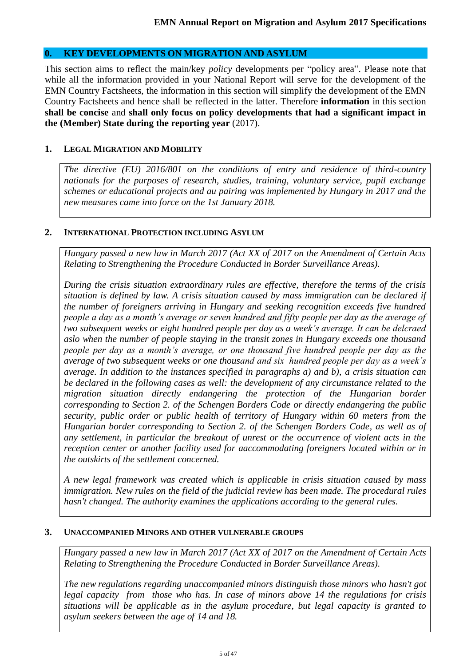### **0. KEY DEVELOPMENTS ON MIGRATION AND ASYLUM**

This section aims to reflect the main/key *policy* developments per "policy area". Please note that while all the information provided in your National Report will serve for the development of the EMN Country Factsheets, the information in this section will simplify the development of the EMN Country Factsheets and hence shall be reflected in the latter. Therefore **information** in this section **shall be concise** and **shall only focus on policy developments that had a significant impact in the (Member) State during the reporting year** (2017).

#### **1. LEGAL MIGRATION AND MOBILITY**

*The directive (EU) 2016/801 on the conditions of entry and residence of third-country nationals for the purposes of research, studies, training, voluntary service, pupil exchange schemes or educational projects and au pairing was implemented by Hungary in 2017 and the new measures came into force on the 1st January 2018.*

#### **2. INTERNATIONAL PROTECTION INCLUDING ASYLUM**

*Hungary passed a new law in March 2017 (Act XX of 2017 on the Amendment of Certain Acts Relating to Strengthening the Procedure Conducted in Border Surveillance Areas).* 

*During the crisis situation extraordinary rules are effective, therefore the terms of the crisis situation is defined by law. A crisis situation caused by mass immigration can be declared if the number of foreigners arriving in Hungary and seeking recognition exceeds five hundred people a day as a month's average or seven hundred and fifty people per day as the average of two subsequent weeks or eight hundred people per day as a week's average. It can be delcraed aslo when the number of people staying in the transit zones in Hungary exceeds one thousand people per day as a month's average, or one thousand five hundred people per day as the average of two subsequent weeks or one thousand and six hundred people per day as a week's average. In addition to the instances specified in paragraphs a) and b), a crisis situation can be declared in the following cases as well: the development of any circumstance related to the migration situation directly endangering the protection of the Hungarian border corresponding to Section 2. of the Schengen Borders Code or directly endangering the public security, public order or public health of territory of Hungary within 60 meters from the Hungarian border corresponding to Section 2. of the Schengen Borders Code, as well as of any settlement, in particular the breakout of unrest or the occurrence of violent acts in the reception center or another facility used for aaccommodating foreigners located within or in the outskirts of the settlement concerned.*

*A new legal framework was created which is applicable in crisis situation caused by mass immigration. New rules on the field of the judicial review has been made. The procedural rules hasn't changed. The authority examines the applications according to the general rules.*

#### **3. UNACCOMPANIED MINORS AND OTHER VULNERABLE GROUPS**

*Hungary passed a new law in March 2017 (Act XX of 2017 on the Amendment of Certain Acts Relating to Strengthening the Procedure Conducted in Border Surveillance Areas).*

*The new regulations regarding unaccompanied minors distinguish those minors who hasn't got legal capacity from those who has. In case of minors above 14 the regulations for crisis situations will be applicable as in the asylum procedure, but legal capacity is granted to asylum seekers between the age of 14 and 18.*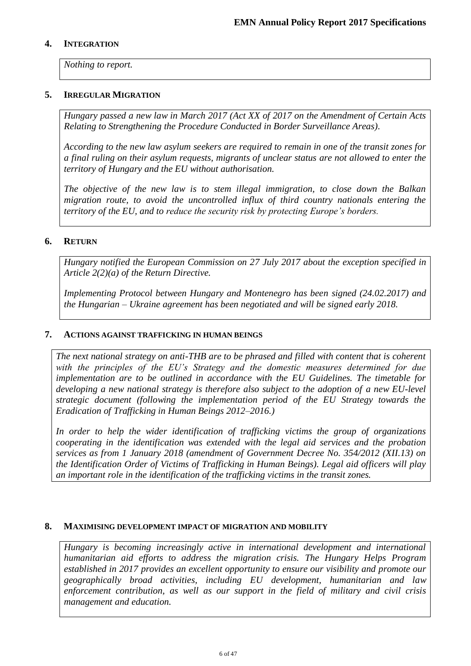#### **4. INTEGRATION**

*Nothing to report.* 

### **5. IRREGULAR MIGRATION**

*Hungary passed a new law in March 2017 (Act XX of 2017 on the Amendment of Certain Acts Relating to Strengthening the Procedure Conducted in Border Surveillance Areas).*

*According to the new law asylum seekers are required to remain in one of the transit zones for a final ruling on their asylum requests, migrants of unclear status are not allowed to enter the territory of Hungary and the EU without authorisation.* 

*The objective of the new law is to stem illegal immigration, to close down the Balkan migration route, to avoid the uncontrolled influx of third country nationals entering the territory of the EU, and to reduce the security risk by protecting Europe's borders.*

# **6. RETURN**

*Hungary notified the European Commission on 27 July 2017 about the exception specified in Article 2(2)(a) of the Return Directive.*

*Implementing Protocol between Hungary and Montenegro has been signed (24.02.2017) and the Hungarian – Ukraine agreement has been negotiated and will be signed early 2018.*

#### **7. ACTIONS AGAINST TRAFFICKING IN HUMAN BEINGS**

*The next national strategy on anti-THB are to be phrased and filled with content that is coherent with the principles of the EU's Strategy and the domestic measures determined for due implementation are to be outlined in accordance with the EU Guidelines. The timetable for developing a new national strategy is therefore also subject to the adoption of a new EU-level strategic document (following the implementation period of the EU Strategy towards the Eradication of Trafficking in Human Beings 2012–2016.)*

*In order to help the wider identification of trafficking victims the group of organizations cooperating in the identification was extended with the legal aid services and the probation services as from 1 January 2018 (amendment of Government Decree No. 354/2012 (XII.13) on the Identification Order of Victims of Trafficking in Human Beings). Legal aid officers will play an important role in the identification of the trafficking victims in the transit zones.*

#### **8. MAXIMISING DEVELOPMENT IMPACT OF MIGRATION AND MOBILITY**

*Hungary is becoming increasingly active in international development and international humanitarian aid efforts to address the migration crisis. The Hungary Helps Program established in 2017 provides an excellent opportunity to ensure our visibility and promote our geographically broad activities, including EU development, humanitarian and law enforcement contribution, as well as our support in the field of military and civil crisis management and education.*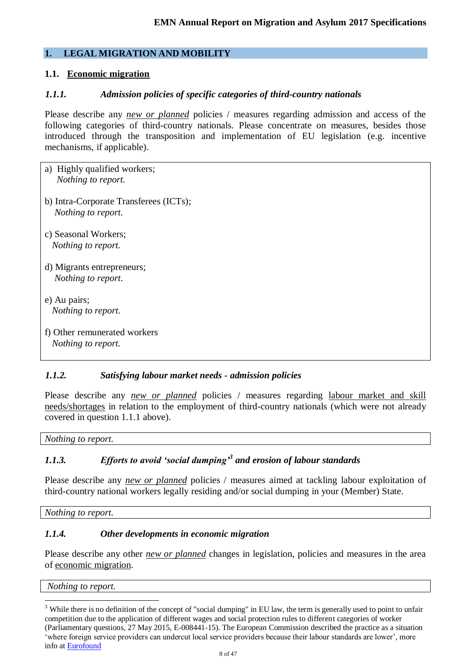# **1. LEGAL MIGRATION AND MOBILITY**

# **1.1. Economic migration**

### *1.1.1. Admission policies of specific categories of third-country nationals*

Please describe any *new or planned* policies / measures regarding admission and access of the following categories of third-country nationals. Please concentrate on measures, besides those introduced through the transposition and implementation of EU legislation (e.g. incentive mechanisms, if applicable).

- a) Highly qualified workers;  *Nothing to report.*
- b) Intra-Corporate Transferees (ICTs); *Nothing to report.*
- c) Seasonal Workers;  *Nothing to report.*
- d) Migrants entrepreneurs; *Nothing to report.*
- e) Au pairs;  *Nothing to report.*
- f) Other remunerated workers *Nothing to report.*

# *1.1.2. Satisfying labour market needs - admission policies*

Please describe any *new or planned* policies / measures regarding labour market and skill needs/shortages in relation to the employment of third-country nationals (which were not already covered in question 1.1.1 above).

*Nothing to report.*

# *1.1.3. Efforts to avoid 'social dumping'<sup>3</sup> and erosion of labour standards*

Please describe any *new or planned* policies / measures aimed at tackling labour exploitation of third-country national workers legally residing and/or social dumping in your (Member) State.

*Nothing to report.*

# *1.1.4. Other developments in economic migration*

Please describe any other *new or planned* changes in legislation, policies and measures in the area of economic migration.

*Nothing to report.*

<u>.</u>

<sup>&</sup>lt;sup>3</sup> While there is no definition of the concept of "social dumping" in EU law, the term is generally used to point to unfair competition due to the application of different wages and social protection rules to different categories of worker (Parliamentary questions, 27 May 2015, E-008441-15). The European Commission described the practice as a situation 'where foreign service providers can undercut local service providers because their labour standards are lower', more info at [Eurofound](https://www.eurofound.europa.eu/observatories/eurwork/industrial-relations-dictionary/social-dumping-0)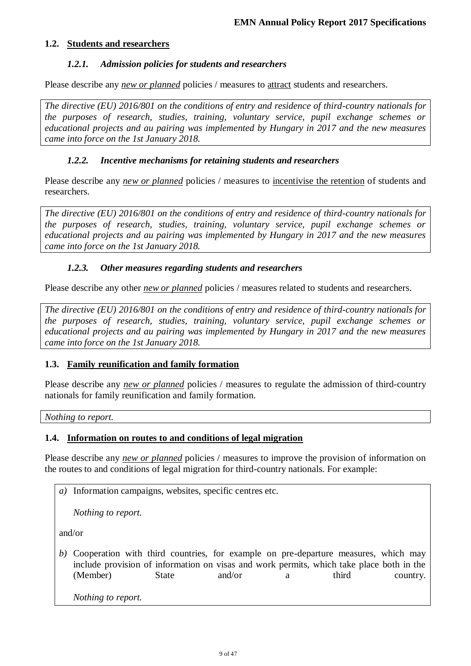### **1.2. Students and researchers**

### *1.2.1. Admission policies for students and researchers*

Please describe any *new or planned* policies / measures to <u>attract</u> students and researchers.

*The directive (EU) 2016/801 on the conditions of entry and residence of third-country nationals for the purposes of research, studies, training, voluntary service, pupil exchange schemes or educational projects and au pairing was implemented by Hungary in 2017 and the new measures came into force on the 1st January 2018.*

### *1.2.2. Incentive mechanisms for retaining students and researchers*

Please describe any *new or planned* policies / measures to incentivise the retention of students and researchers.

*The directive (EU) 2016/801 on the conditions of entry and residence of third-country nationals for the purposes of research, studies, training, voluntary service, pupil exchange schemes or educational projects and au pairing was implemented by Hungary in 2017 and the new measures came into force on the 1st January 2018.*

### *1.2.3. Other measures regarding students and researchers*

Please describe any other *new or planned* policies / measures related to students and researchers.

*The directive (EU) 2016/801 on the conditions of entry and residence of third-country nationals for the purposes of research, studies, training, voluntary service, pupil exchange schemes or educational projects and au pairing was implemented by Hungary in 2017 and the new measures came into force on the 1st January 2018.*

#### **1.3. Family reunification and family formation**

Please describe any *new or planned* policies / measures to regulate the admission of third-country nationals for family reunification and family formation.

*Nothing to report.*

#### **1.4. Information on routes to and conditions of legal migration**

Please describe any *new or planned* policies / measures to improve the provision of information on the routes to and conditions of legal migration for third-country nationals. For example:

*a)* Information campaigns, websites, specific centres etc.

*Nothing to report.*

and/or

*b)* Cooperation with third countries, for example on pre-departure measures, which may include provision of information on visas and work permits, which take place both in the (Member) State and/or a third country.

*Nothing to report.*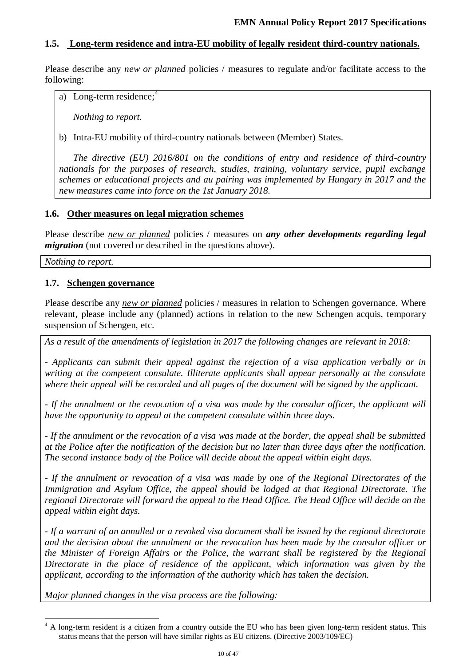# **1.5. Long-term residence and intra-EU mobility of legally resident third-country nationals.**

Please describe any *new or planned* policies / measures to regulate and/or facilitate access to the following:

a) Long-term residence; $4$ 

*Nothing to report.*

b) Intra-EU mobility of third-country nationals between (Member) States.

*The directive (EU) 2016/801 on the conditions of entry and residence of third-country nationals for the purposes of research, studies, training, voluntary service, pupil exchange schemes or educational projects and au pairing was implemented by Hungary in 2017 and the new measures came into force on the 1st January 2018.*

#### **1.6. Other measures on legal migration schemes**

Please describe *new or planned* policies / measures on *any other developments regarding legal migration* (not covered or described in the questions above).

*Nothing to report.*

1

### **1.7. Schengen governance**

Please describe any *new or planned* policies / measures in relation to Schengen governance. Where relevant, please include any (planned) actions in relation to the new Schengen acquis, temporary suspension of Schengen, etc.

*As a result of the amendments of legislation in 2017 the following changes are relevant in 2018:*

*- Applicants can submit their appeal against the rejection of a visa application verbally or in writing at the competent consulate. Illiterate applicants shall appear personally at the consulate where their appeal will be recorded and all pages of the document will be signed by the applicant.* 

*- If the annulment or the revocation of a visa was made by the consular officer, the applicant will have the opportunity to appeal at the competent consulate within three days.* 

*- If the annulment or the revocation of a visa was made at the border, the appeal shall be submitted at the Police after the notification of the decision but no later than three days after the notification. The second instance body of the Police will decide about the appeal within eight days.*

*- If the annulment or revocation of a visa was made by one of the Regional Directorates of the Immigration and Asylum Office, the appeal should be lodged at that Regional Directorate. The regional Directorate will forward the appeal to the Head Office. The Head Office will decide on the appeal within eight days.*

*- If a warrant of an annulled or a revoked visa document shall be issued by the regional directorate and the decision about the annulment or the revocation has been made by the consular officer or the Minister of Foreign Affairs or the Police, the warrant shall be registered by the Regional Directorate in the place of residence of the applicant, which information was given by the applicant, according to the information of the authority which has taken the decision.* 

*Major planned changes in the visa process are the following:*

<sup>&</sup>lt;sup>4</sup> A long-term resident is a citizen from a country outside the EU who has been given long-term resident status. This status means that the person will have similar rights as EU citizens. (Directive 2003/109/EC)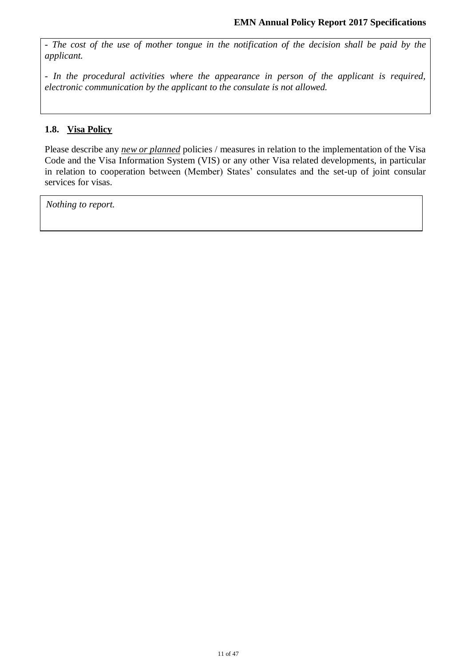*- The cost of the use of mother tongue in the notification of the decision shall be paid by the applicant.*

*- In the procedural activities where the appearance in person of the applicant is required, electronic communication by the applicant to the consulate is not allowed.*

# **1.8. Visa Policy**

Please describe any *new or planned* policies / measures in relation to the implementation of the Visa Code and the Visa Information System (VIS) or any other Visa related developments, in particular in relation to cooperation between (Member) States' consulates and the set-up of joint consular services for visas.

*Nothing to report.*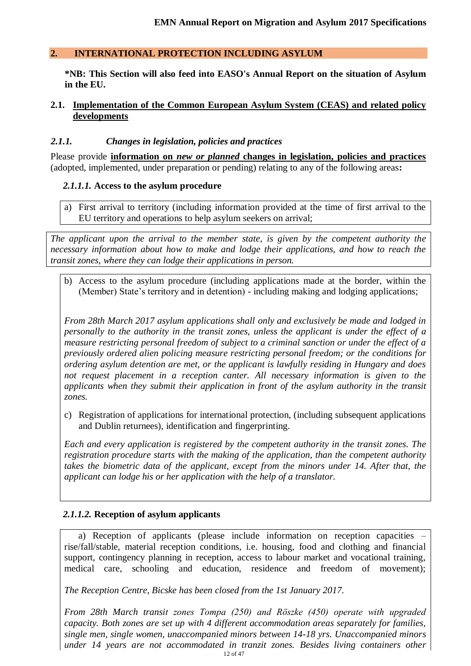### **2. INTERNATIONAL PROTECTION INCLUDING ASYLUM**

**\*NB: This Section will also feed into EASO's Annual Report on the situation of Asylum in the EU.** 

#### **2.1. Implementation of the Common European Asylum System (CEAS) and related policy developments**

#### *2.1.1. Changes in legislation, policies and practices*

Please provide **information on** *new or planned* **changes in legislation, policies and practices** (adopted, implemented, under preparation or pending) relating to any of the following areas**:**

### *2.1.1.1.* **Access to the asylum procedure**

a) First arrival to territory (including information provided at the time of first arrival to the EU territory and operations to help asylum seekers on arrival;

*The applicant upon the arrival to the member state, is given by the competent authority the necessary information about how to make and lodge their applications, and how to reach the transit zones, where they can lodge their applications in person.*

b) Access to the asylum procedure (including applications made at the border, within the (Member) State's territory and in detention) - including making and lodging applications;

*From 28th March 2017 asylum applications shall only and exclusively be made and lodged in personally to the authority in the transit zones, unless the applicant is under the effect of a measure restricting personal freedom of subject to a criminal sanction or under the effect of a previously ordered alien policing measure restricting personal freedom; or the conditions for ordering asylum detention are met, or the applicant is lawfully residing in Hungary and does not request placement in a reception canter. All necessary information is given to the applicants when they submit their application in front of the asylum authority in the transit zones.*

c) Registration of applications for international protection, (including subsequent applications and Dublin returnees), identification and fingerprinting.

*Each and every application is registered by the competent authority in the transit zones. The registration procedure starts with the making of the application, than the competent authority takes the biometric data of the applicant, except from the minors under 14. After that, the applicant can lodge his or her application with the help of a translator.* 

# *2.1.1.2.* **Reception of asylum applicants**

a) Reception of applicants (please include information on reception capacities rise/fall/stable, material reception conditions, i.e. housing, food and clothing and financial support, contingency planning in reception, access to labour market and vocational training, medical care, schooling and education, residence and freedom of movement);

*The Reception Centre, Bicske has been closed from the 1st January 2017.* 

12 of 47 *From 28th March transit zones Tompa (250) and Röszke (450) operate with upgraded capacity. Both zones are set up with 4 different accommodation areas separately for families, single men, single women, unaccompanied minors between 14-18 yrs. Unaccompanied minors under 14 years are not accommodated in tranzit zones. Besides living containers other*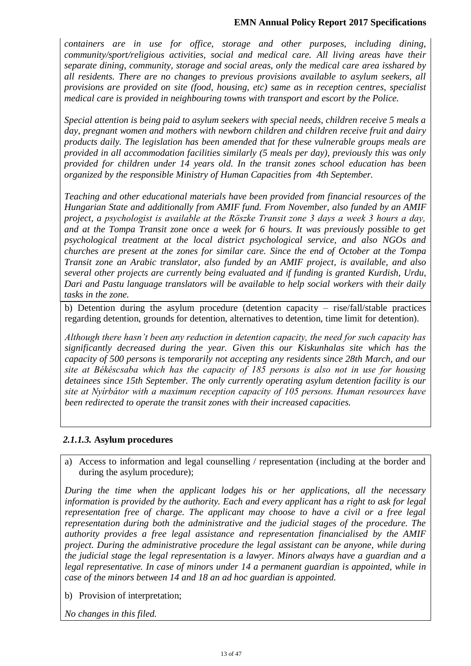### **EMN Annual Policy Report 2017 Specifications**

*containers are in use for office, storage and other purposes, including dining, community/sport/religious activities, social and medical care. All living areas have their separate dining, community, storage and social areas, only the medical care area isshared by all residents. There are no changes to previous provisions available to asylum seekers, all provisions are provided on site (food, housing, etc) same as in reception centres, specialist medical care is provided in neighbouring towns with transport and escort by the Police.*

*Special attention is being paid to asylum seekers with special needs, children receive 5 meals a day, pregnant women and mothers with newborn children and children receive fruit and dairy products daily. The legislation has been amended that for these vulnerable groups meals are provided in all accommodation facilities similarly (5 meals per day), previously this was only provided for children under 14 years old. In the transit zones school education has been organized by the responsible Ministry of Human Capacities from 4th September.* 

*Teaching and other educational materials have been provided from financial resources of the Hungarian State and additionally from AMIF fund. From November, also funded by an AMIF project, a psychologist is available at the Röszke Transit zone 3 days a week 3 hours a day, and at the Tompa Transit zone once a week for 6 hours. It was previously possible to get psychological treatment at the local district psychological service, and also NGOs and churches are present at the zones for similar care. Since the end of October at the Tompa Transit zone an Arabic translator, also funded by an AMIF project, is available, and also several other projects are currently being evaluated and if funding is granted Kurdish, Urdu, Dari and Pastu language translators will be available to help social workers with their daily tasks in the zone.*

b) Detention during the asylum procedure (detention capacity – rise/fall/stable practices regarding detention, grounds for detention, alternatives to detention, time limit for detention).

*Although there hasn't been any reduction in detention capacity, the need for such capacity has significantly decreased during the year. Given this our Kiskunhalas site which has the capacity of 500 persons is temporarily not accepting any residents since 28th March, and our site at Békéscsaba which has the capacity of 185 persons is also not in use for housing detainees since 15th September. The only currently operating asylum detention facility is our site at Nyírbátor with a maximum reception capacity of 105 persons. Human resources have been redirected to operate the transit zones with their increased capacities.*

#### *2.1.1.3.* **Asylum procedures**

a) Access to information and legal counselling / representation (including at the border and during the asylum procedure);

*During the time when the applicant lodges his or her applications, all the necessary information is provided by the authority. Each and every applicant has a right to ask for legal representation free of charge. The applicant may choose to have a civil or a free legal representation during both the administrative and the judicial stages of the procedure. The authority provides a free legal assistance and representation financialised by the AMIF project. During the administrative procedure the legal assistant can be anyone, while during the judicial stage the legal representation is a lawyer. Minors always have a guardian and a legal representative. In case of minors under 14 a permanent guardian is appointed, while in case of the minors between 14 and 18 an ad hoc guardian is appointed.* 

b) Provision of interpretation;

*No changes in this filed.*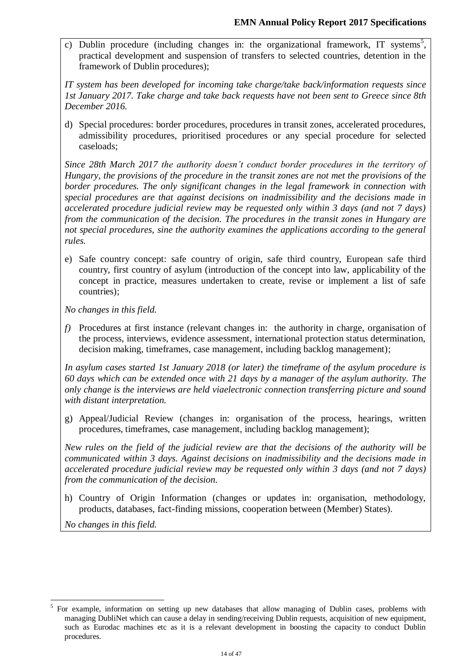c) Dublin procedure (including changes in: the organizational framework, IT systems<sup>5</sup>, practical development and suspension of transfers to selected countries, detention in the framework of Dublin procedures);

*IT system has been developed for incoming take charge/take back/information requests since 1st January 2017. Take charge and take back requests have not been sent to Greece since 8th December 2016.*

d) Special procedures: border procedures, procedures in transit zones, accelerated procedures, admissibility procedures, prioritised procedures or any special procedure for selected caseloads;

*Since 28th March 2017 the authority doesn't conduct border procedures in the territory of Hungary, the provisions of the procedure in the transit zones are not met the provisions of the border procedures. The only significant changes in the legal framework in connection with special procedures are that against decisions on inadmissibility and the decisions made in accelerated procedure judicial review may be requested only within 3 days (and not 7 days) from the communication of the decision. The procedures in the transit zones in Hungary are not special procedures, sine the authority examines the applications according to the general rules.*

e) Safe country concept: safe country of origin, safe third country, European safe third country, first country of asylum (introduction of the concept into law, applicability of the concept in practice, measures undertaken to create, revise or implement a list of safe countries);

*No changes in this field.* 

*f)* Procedures at first instance (relevant changes in: the authority in charge, organisation of the process, interviews, evidence assessment, international protection status determination, decision making, timeframes, case management, including backlog management);

*In asylum cases started 1st January 2018 (or later) the timeframe of the asylum procedure is 60 days which can be extended once with 21 days by a manager of the asylum authority. The only change is the interviews are held viaelectronic connection transferring picture and sound with distant interpretation.* 

g) Appeal/Judicial Review (changes in: organisation of the process, hearings, written procedures, timeframes, case management, including backlog management);

*New rules on the field of the judicial review are that the decisions of the authority will be communicated within 3 days. Against decisions on inadmissibility and the decisions made in accelerated procedure judicial review may be requested only within 3 days (and not 7 days) from the communication of the decision.*

h) Country of Origin Information (changes or updates in: organisation, methodology, products, databases, fact-finding missions, cooperation between (Member) States).

*No changes in this field.* 

 $\overline{a}$ 

<sup>&</sup>lt;sup>5</sup> For example, information on setting up new databases that allow managing of Dublin cases, problems with managing DubliNet which can cause a delay in sending/receiving Dublin requests, acquisition of new equipment, such as Eurodac machines etc as it is a relevant development in boosting the capacity to conduct Dublin procedures.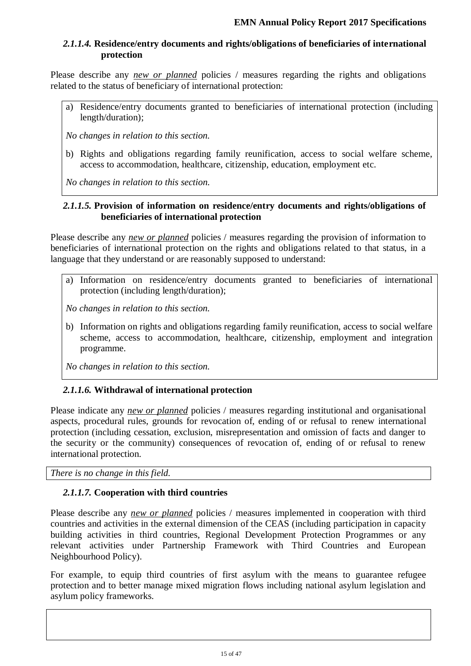# *2.1.1.4.* **Residence/entry documents and rights/obligations of beneficiaries of international protection**

Please describe any *new or planned* policies / measures regarding the rights and obligations related to the status of beneficiary of international protection:

a) Residence/entry documents granted to beneficiaries of international protection (including length/duration);

*No changes in relation to this section.*

b) Rights and obligations regarding family reunification, access to social welfare scheme, access to accommodation, healthcare, citizenship, education, employment etc.

*No changes in relation to this section.*

### *2.1.1.5.* **Provision of information on residence/entry documents and rights/obligations of beneficiaries of international protection**

Please describe any *new or planned* policies / measures regarding the provision of information to beneficiaries of international protection on the rights and obligations related to that status, in a language that they understand or are reasonably supposed to understand:

a) Information on residence/entry documents granted to beneficiaries of international protection (including length/duration);

*No changes in relation to this section.*

b) Information on rights and obligations regarding family reunification, access to social welfare scheme, access to accommodation, healthcare, citizenship, employment and integration programme.

*No changes in relation to this section.*

# *2.1.1.6.* **Withdrawal of international protection**

Please indicate any *new or planned* policies / measures regarding institutional and organisational aspects, procedural rules, grounds for revocation of, ending of or refusal to renew international protection (including cessation, exclusion, misrepresentation and omission of facts and danger to the security or the community) consequences of revocation of, ending of or refusal to renew international protection.

*There is no change in this field.* 

# *2.1.1.7.* **Cooperation with third countries**

Please describe any *new or planned* policies / measures implemented in cooperation with third countries and activities in the external dimension of the CEAS (including participation in capacity building activities in third countries, Regional Development Protection Programmes or any relevant activities under Partnership Framework with Third Countries and European Neighbourhood Policy).

For example, to equip third countries of first asylum with the means to guarantee refugee protection and to better manage mixed migration flows including national asylum legislation and asylum policy frameworks.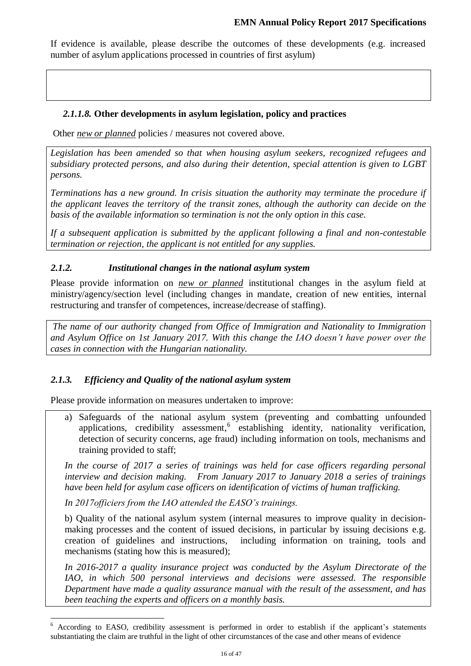If evidence is available, please describe the outcomes of these developments (e.g. increased number of asylum applications processed in countries of first asylum)

# *2.1.1.8.* **Other developments in asylum legislation, policy and practices**

Other *new or planned* policies / measures not covered above.

*Legislation has been amended so that when housing asylum seekers, recognized refugees and subsidiary protected persons, and also during their detention, special attention is given to LGBT persons.*

*Terminations has a new ground. In crisis situation the authority may terminate the procedure if the applicant leaves the territory of the transit zones, although the authority can decide on the basis of the available information so termination is not the only option in this case.*

*If a subsequent application is submitted by the applicant following a final and non-contestable termination or rejection, the applicant is not entitled for any supplies.*

# *2.1.2. Institutional changes in the national asylum system*

Please provide information on *new or planned* institutional changes in the asylum field at ministry/agency/section level (including changes in mandate, creation of new entities, internal restructuring and transfer of competences, increase/decrease of staffing).

*The name of our authority changed from Office of Immigration and Nationality to Immigration and Asylum Office on 1st January 2017. With this change the IAO doesn't have power over the cases in connection with the Hungarian nationality.* 

# *2.1.3. Efficiency and Quality of the national asylum system*

Please provide information on measures undertaken to improve:

a) Safeguards of the national asylum system (preventing and combatting unfounded applications, credibility assessment,<sup>6</sup> establishing identity, nationality verification, detection of security concerns, age fraud) including information on tools, mechanisms and training provided to staff;

*In the course of 2017 a series of trainings was held for case officers regarding personal interview and decision making. From January 2017 to January 2018 a series of trainings have been held for asylum case officers on identification of victims of human trafficking.*

*In 2017officiers from the IAO attended the EASO's trainings.* 

 $\overline{a}$ 

b) Quality of the national asylum system (internal measures to improve quality in decisionmaking processes and the content of issued decisions, in particular by issuing decisions e.g. creation of guidelines and instructions, including information on training, tools and mechanisms (stating how this is measured);

*In 2016-2017 a quality insurance project was conducted by the Asylum Directorate of the IAO, in which 500 personal interviews and decisions were assessed. The responsible Department have made a quality assurance manual with the result of the assessment, and has been teaching the experts and officers on a monthly basis.* 

<sup>&</sup>lt;sup>6</sup> According to EASO, credibility assessment is performed in order to establish if the applicant's statements substantiating the claim are truthful in the light of other circumstances of the case and other means of evidence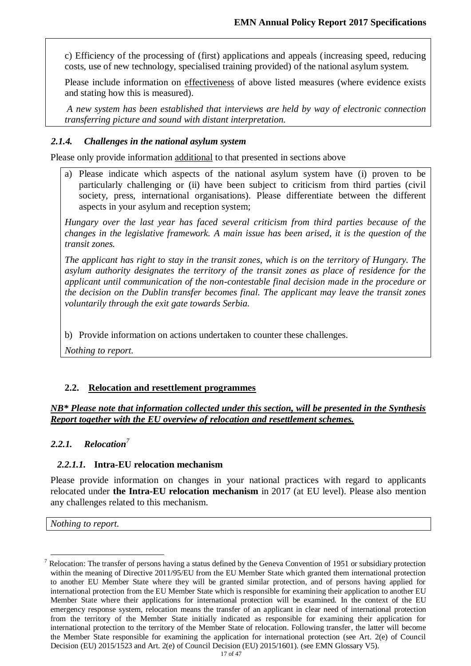c) Efficiency of the processing of (first) applications and appeals (increasing speed, reducing costs, use of new technology, specialised training provided) of the national asylum system.

Please include information on effectiveness of above listed measures (where evidence exists and stating how this is measured).

*A new system has been established that interviews are held by way of electronic connection transferring picture and sound with distant interpretation.* 

# *2.1.4. Challenges in the national asylum system*

Please only provide information additional to that presented in sections above

a) Please indicate which aspects of the national asylum system have (i) proven to be particularly challenging or (ii) have been subject to criticism from third parties (civil society, press, international organisations). Please differentiate between the different aspects in your asylum and reception system;

*Hungary over the last year has faced several criticism from third parties because of the changes in the legislative framework. A main issue has been arised, it is the question of the transit zones.*

*The applicant has right to stay in the transit zones, which is on the territory of Hungary. The asylum authority designates the territory of the transit zones as place of residence for the applicant until communication of the non-contestable final decision made in the procedure or the decision on the Dublin transfer becomes final. The applicant may leave the transit zones voluntarily through the exit gate towards Serbia.* 

b) Provide information on actions undertaken to counter these challenges.

*Nothing to report.*

# **2.2. Relocation and resettlement programmes**

*NB\* Please note that information collected under this section, will be presented in the Synthesis Report together with the EU overview of relocation and resettlement schemes.*

#### *2.2.1. Relocation<sup>7</sup>*

# *2.2.1.1.* **Intra-EU relocation mechanism**

Please provide information on changes in your national practices with regard to applicants relocated under **the Intra-EU relocation mechanism** in 2017 (at EU level). Please also mention any challenges related to this mechanism.

*Nothing to report.*

 $\overline{a}$ 

 $<sup>7</sup>$  Relocation: The transfer of persons having a status defined by the Geneva Convention of 1951 or subsidiary protection</sup> within the meaning of Directive 2011/95/EU from the EU Member State which granted them international protection to another EU Member State where they will be granted similar protection, and of persons having applied for international protection from the EU Member State which is responsible for examining their application to another EU Member State where their applications for international protection will be examined. In the context of the EU emergency response system, relocation means the transfer of an applicant in clear need of international protection from the territory of the Member State initially indicated as responsible for examining their application for international protection to the territory of the Member State of relocation. Following transfer, the latter will become the Member State responsible for examining the application for international protection (see Art. 2(e) of Council Decision (EU) 2015/1523 and Art. 2(e) of Council Decision (EU) 2015/1601). (see EMN Glossary V5).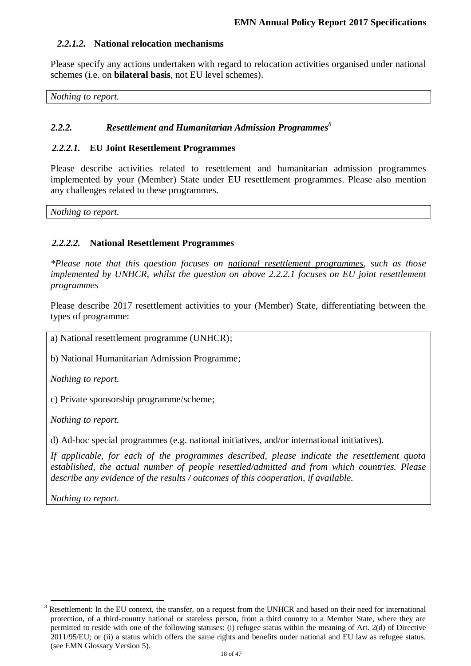# *2.2.1.2.* **National relocation mechanisms**

Please specify any actions undertaken with regard to relocation activities organised under national schemes (i.e. on **bilateral basis**, not EU level schemes).

*Nothing to report.*

# *2.2.2. Resettlement and Humanitarian Admission Programmes 8*

#### *2.2.2.1.* **EU Joint Resettlement Programmes**

Please describe activities related to resettlement and humanitarian admission programmes implemented by your (Member) State under EU resettlement programmes. Please also mention any challenges related to these programmes.

*Nothing to report.*

### *2.2.2.2.* **National Resettlement Programmes**

*\*Please note that this question focuses on national resettlement programmes, such as those implemented by UNHCR, whilst the question on above 2.2.2.1 focuses on EU joint resettlement programmes*

Please describe 2017 resettlement activities to your (Member) State, differentiating between the types of programme:

a) National resettlement programme (UNHCR);

b) National Humanitarian Admission Programme;

*Nothing to report.*

c) Private sponsorship programme/scheme;

*Nothing to report.*

d) Ad-hoc special programmes (e.g. national initiatives, and/or international initiatives).

*If applicable, for each of the programmes described, please indicate the resettlement quota established, the actual number of people resettled/admitted and from which countries. Please describe any evidence of the results / outcomes of this cooperation, if available.*

*Nothing to report.*

 $\overline{a}$ 

<sup>&</sup>lt;sup>8</sup> Resettlement: In the EU context, the transfer, on a request from the UNHCR and based on their need for international protection, of a third-country national or stateless person, from a third country to a Member State, where they are permitted to reside with one of the following statuses: (i) refugee status within the meaning of Art. 2(d) of Directive 2011/95/EU; or (ii) a status which offers the same rights and benefits under national and EU law as refugee status. (see EMN Glossary Version 5).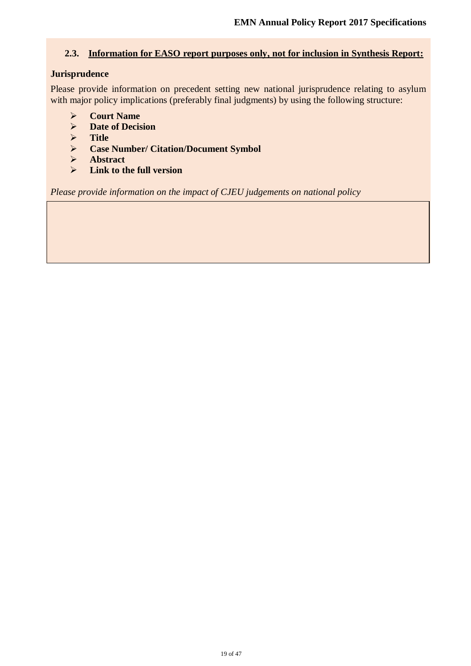### **2.3. Information for EASO report purposes only, not for inclusion in Synthesis Report:**

### **Jurisprudence**

Please provide information on precedent setting new national jurisprudence relating to asylum with major policy implications (preferably final judgments) by using the following structure:

- **Court Name**
- **Date of Decision**
- **Title**
- **Case Number/ Citation/Document Symbol**
- **Abstract**
- **Link to the full version**

*Please provide information on the impact of CJEU judgements on national policy*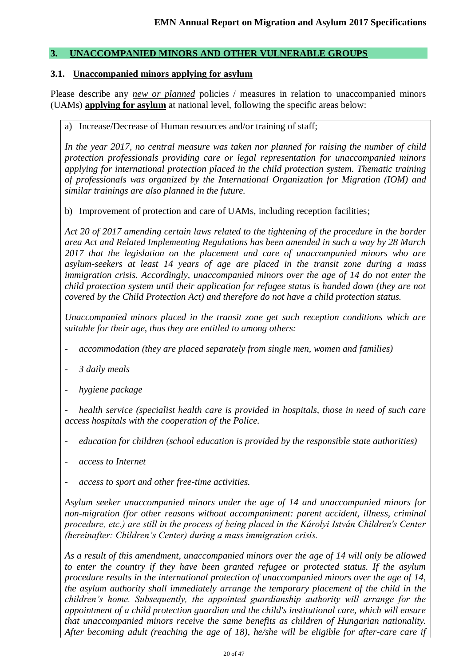### **3. UNACCOMPANIED MINORS AND OTHER VULNERABLE GROUPS**

#### **3.1. Unaccompanied minors applying for asylum**

Please describe any *new or planned* policies / measures in relation to unaccompanied minors (UAMs) **applying for asylum** at national level, following the specific areas below:

a) Increase/Decrease of Human resources and/or training of staff;

*In the year 2017, no central measure was taken nor planned for raising the number of child protection professionals providing care or legal representation for unaccompanied minors applying for international protection placed in the child protection system. Thematic training of professionals was organized by the International Organization for Migration (IOM) and similar trainings are also planned in the future.*

b) Improvement of protection and care of UAMs, including reception facilities;

*Act 20 of 2017 amending certain laws related to the tightening of the procedure in the border area Act and Related Implementing Regulations has been amended in such a way by 28 March 2017 that the legislation on the placement and care of unaccompanied minors who are asylum-seekers at least 14 years of age are placed in the transit zone during a mass immigration crisis. Accordingly, unaccompanied minors over the age of 14 do not enter the child protection system until their application for refugee status is handed down (they are not covered by the Child Protection Act) and therefore do not have a child protection status.*

*Unaccompanied minors placed in the transit zone get such reception conditions which are suitable for their age, thus they are entitled to among others:*

- *- accommodation (they are placed separately from single men, women and families)*
- *- 3 daily meals*
- *- hygiene package*

*- health service (specialist health care is provided in hospitals, those in need of such care access hospitals with the cooperation of the Police.*

- *- education for children (school education is provided by the responsible state authorities)*
- *- access to Internet*
- *- access to sport and other free-time activities.*

*Asylum seeker unaccompanied minors under the age of 14 and unaccompanied minors for non-migration (for other reasons without accompaniment: parent accident, illness, criminal procedure, etc.) are still in the process of being placed in the Károlyi István Children's Center (hereinafter: Children's Center) during a mass immigration crisis.*

*As a result of this amendment, unaccompanied minors over the age of 14 will only be allowed to enter the country if they have been granted refugee or protected status. If the asylum procedure results in the international protection of unaccompanied minors over the age of 14, the asylum authority shall immediately arrange the temporary placement of the child in the children's home. Subsequently, the appointed guardianship authority will arrange for the appointment of a child protection guardian and the child's institutional care, which will ensure that unaccompanied minors receive the same benefits as children of Hungarian nationality. After becoming adult (reaching the age of 18), he/she will be eligible for after-care care if*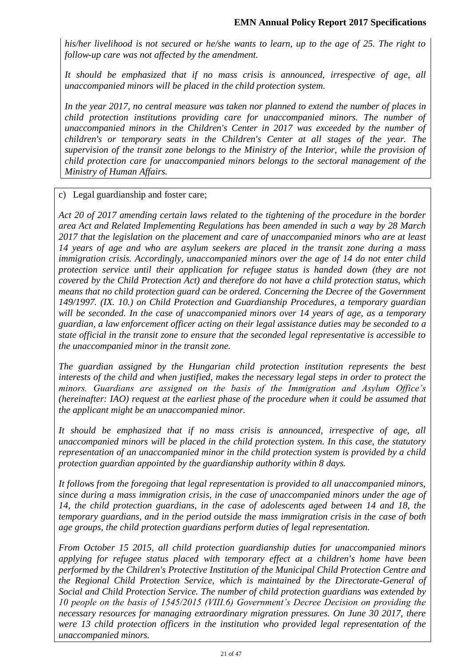*his/her livelihood is not secured or he/she wants to learn, up to the age of 25. The right to follow-up care was not affected by the amendment.*

*It should be emphasized that if no mass crisis is announced, irrespective of age, all unaccompanied minors will be placed in the child protection system.*

*In the year 2017, no central measure was taken nor planned to extend the number of places in child protection institutions providing care for unaccompanied minors. The number of unaccompanied minors in the Children's Center in 2017 was exceeded by the number of children's or temporary seats in the Children's Center at all stages of the year. The supervision of the transit zone belongs to the Ministry of the Interior, while the provision of child protection care for unaccompanied minors belongs to the sectoral management of the Ministry of Human Affairs.*

c) Legal guardianship and foster care;

*Act 20 of 2017 amending certain laws related to the tightening of the procedure in the border area Act and Related Implementing Regulations has been amended in such a way by 28 March 2017 that the legislation on the placement and care of unaccompanied minors who are at least 14 years of age and who are asylum seekers are placed in the transit zone during a mass immigration crisis. Accordingly, unaccompanied minors over the age of 14 do not enter child protection service until their application for refugee status is handed down (they are not covered by the Child Protection Act) and therefore do not have a child protection status, which means that no child protection guard can be ordered. Concerning the Decree of the Government 149/1997. (IX. 10.) on Child Protection and Guardianship Procedures, a temporary guardian will be seconded. In the case of unaccompanied minors over 14 years of age, as a temporary guardian, a law enforcement officer acting on their legal assistance duties may be seconded to a state official in the transit zone to ensure that the seconded legal representative is accessible to the unaccompanied minor in the transit zone.* 

*The guardian assigned by the Hungarian child protection institution represents the best interests of the child and when justified, makes the necessary legal steps in order to protect the minors. Guardians are assigned on the basis of the Immigration and Asylum Office's (hereinafter: IAO) request at the earliest phase of the procedure when it could be assumed that the applicant might be an unaccompanied minor.*

*It should be emphasized that if no mass crisis is announced, irrespective of age, all unaccompanied minors will be placed in the child protection system. In this case, the statutory representation of an unaccompanied minor in the child protection system is provided by a child protection guardian appointed by the guardianship authority within 8 days.*

*It follows from the foregoing that legal representation is provided to all unaccompanied minors, since during a mass immigration crisis, in the case of unaccompanied minors under the age of 14, the child protection guardians, in the case of adolescents aged between 14 and 18, the temporary guardians, and in the period outside the mass immigration crisis in the case of both age groups, the child protection guardians perform duties of legal representation.*

*From October 15 2015, all child protection guardianship duties for unaccompanied minors applying for refugee status placed with temporary effect at a children's home have been performed by the Children's Protective Institution of the Municipal Child Protection Centre and the Regional Child Protection Service, which is maintained by the Directorate-General of Social and Child Protection Service. The number of child protection guardians was extended by 10 people on the basis of 1545/2015 (VIII.6) Government's Decree Decision on providing the necessary resources for managing extraordinary migration pressures. On June 30 2017, there were 13 child protection officers in the institution who provided legal representation of the unaccompanied minors.*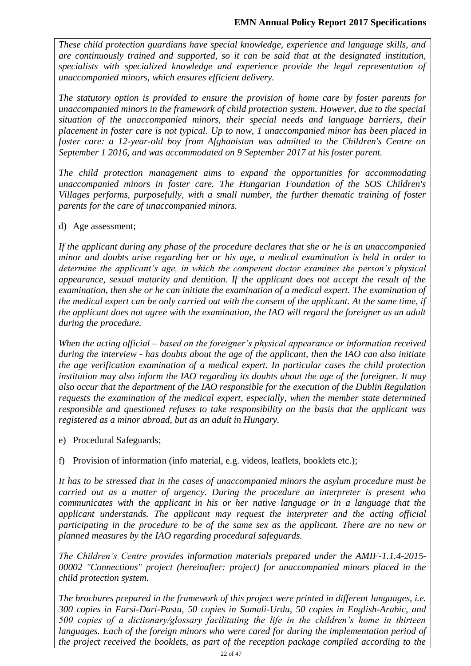*These child protection guardians have special knowledge, experience and language skills, and are continuously trained and supported, so it can be said that at the designated institution, specialists with specialized knowledge and experience provide the legal representation of unaccompanied minors, which ensures efficient delivery.*

*The statutory option is provided to ensure the provision of home care by foster parents for unaccompanied minors in the framework of child protection system. However, due to the special situation of the unaccompanied minors, their special needs and language barriers, their placement in foster care is not typical. Up to now, 1 unaccompanied minor has been placed in foster care: a 12-year-old boy from Afghanistan was admitted to the Children's Centre on September 1 2016, and was accommodated on 9 September 2017 at his foster parent.*

*The child protection management aims to expand the opportunities for accommodating unaccompanied minors in foster care. The Hungarian Foundation of the SOS Children's Villages performs, purposefully, with a small number, the further thematic training of foster parents for the care of unaccompanied minors.*

### d) Age assessment;

*If the applicant during any phase of the procedure declares that she or he is an unaccompanied minor and doubts arise regarding her or his age, a medical examination is held in order to determine the applicant's age, in which the competent doctor examines the person's physical appearance, sexual maturity and dentition. If the applicant does not accept the result of the examination, then she or he can initiate the examination of a medical expert. The examination of the medical expert can be only carried out with the consent of the applicant. At the same time, if the applicant does not agree with the examination, the IAO will regard the foreigner as an adult during the procedure.*

*When the acting official – based on the foreigner's physical appearance or information received during the interview - has doubts about the age of the applicant, then the IAO can also initiate the age verification examination of a medical expert. In particular cases the child protection institution may also inform the IAO regarding its doubts about the age of the foreigner. It may also occur that the department of the IAO responsible for the execution of the Dublin Regulation requests the examination of the medical expert, especially, when the member state determined responsible and questioned refuses to take responsibility on the basis that the applicant was registered as a minor abroad, but as an adult in Hungary.*

e) Procedural Safeguards;

f) Provision of information (info material, e.g. videos, leaflets, booklets etc.);

*It has to be stressed that in the cases of unaccompanied minors the asylum procedure must be carried out as a matter of urgency. During the procedure an interpreter is present who communicates with the applicant in his or her native language or in a language that the applicant understands. The applicant may request the interpreter and the acting official participating in the procedure to be of the same sex as the applicant. There are no new or planned measures by the IAO regarding procedural safeguards.*

*The Children's Centre provides information materials prepared under the AMIF-1.1.4-2015- 00002 "Connections" project (hereinafter: project) for unaccompanied minors placed in the child protection system.*

*The brochures prepared in the framework of this project were printed in different languages, i.e. 300 copies in Farsi-Dari-Pastu, 50 copies in Somali-Urdu, 50 copies in English-Arabic, and 500 copies of a dictionary/glossary facilitating the life in the children's home in thirteen*  languages. Each of the foreign minors who were cared for during the implementation period of *the project received the booklets, as part of the reception package compiled according to the*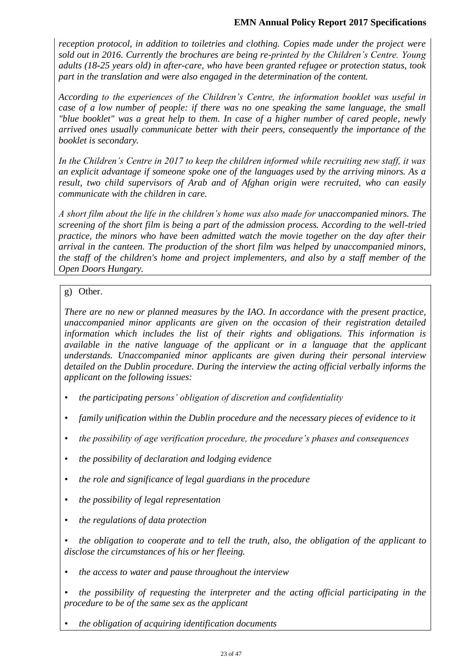### **EMN Annual Policy Report 2017 Specifications**

*reception protocol, in addition to toiletries and clothing. Copies made under the project were sold out in 2016. Currently the brochures are being re-printed by the Children's Centre. Young adults (18-25 years old) in after-care, who have been granted refugee or protection status, took part in the translation and were also engaged in the determination of the content.*

*According to the experiences of the Children's Centre, the information booklet was useful in case of a low number of people: if there was no one speaking the same language, the small "blue booklet" was a great help to them. In case of a higher number of cared people, newly arrived ones usually communicate better with their peers, consequently the importance of the booklet is secondary.*

*In the Children's Centre in 2017 to keep the children informed while recruiting new staff, it was an explicit advantage if someone spoke one of the languages used by the arriving minors. As a result, two child supervisors of Arab and of Afghan origin were recruited, who can easily communicate with the children in care.*

*A short film about the life in the children's home was also made for unaccompanied minors. The screening of the short film is being a part of the admission process. According to the well-tried practice, the minors who have been admitted watch the movie together on the day after their arrival in the canteen. The production of the short film was helped by unaccompanied minors, the staff of the children's home and project implementers, and also by a staff member of the Open Doors Hungary.*

# g) Other.

*There are no new or planned measures by the IAO. In accordance with the present practice, unaccompanied minor applicants are given on the occasion of their registration detailed information which includes the list of their rights and obligations. This information is available in the native language of the applicant or in a language that the applicant understands. Unaccompanied minor applicants are given during their personal interview detailed on the Dublin procedure. During the interview the acting official verbally informs the applicant on the following issues:*

- *• the participating persons' obligation of discretion and confidentiality*
- *• family unification within the Dublin procedure and the necessary pieces of evidence to it*
- *• the possibility of age verification procedure, the procedure's phases and consequences*
- *• the possibility of declaration and lodging evidence*
- *• the role and significance of legal guardians in the procedure*
- *• the possibility of legal representation*
- *• the regulations of data protection*
- *• the obligation to cooperate and to tell the truth, also, the obligation of the applicant to disclose the circumstances of his or her fleeing.*
- *• the access to water and pause throughout the interview*

*• the possibility of requesting the interpreter and the acting official participating in the procedure to be of the same sex as the applicant*

*• the obligation of acquiring identification documents*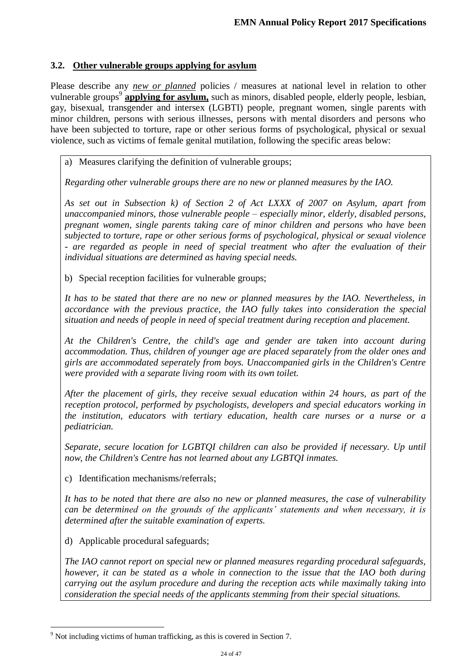# **3.2. Other vulnerable groups applying for asylum**

Please describe any *new or planned* policies / measures at national level in relation to other vulnerable groups<sup>9</sup> applying for asylum, such as minors, disabled people, elderly people, lesbian, gay, bisexual, transgender and intersex (LGBTI) people, pregnant women, single parents with minor children, persons with serious illnesses, persons with mental disorders and persons who have been subjected to torture, rape or other serious forms of psychological, physical or sexual violence, such as victims of female genital mutilation, following the specific areas below:

a) Measures clarifying the definition of vulnerable groups;

*Regarding other vulnerable groups there are no new or planned measures by the IAO.*

*As set out in Subsection k) of Section 2 of Act LXXX of 2007 on Asylum, apart from unaccompanied minors, those vulnerable people – especially minor, elderly, disabled persons, pregnant women, single parents taking care of minor children and persons who have been subjected to torture, rape or other serious forms of psychological, physical or sexual violence - are regarded as people in need of special treatment who after the evaluation of their individual situations are determined as having special needs.*

b) Special reception facilities for vulnerable groups;

*It has to be stated that there are no new or planned measures by the IAO. Nevertheless, in accordance with the previous practice, the IAO fully takes into consideration the special situation and needs of people in need of special treatment during reception and placement.*

*At the Children's Centre, the child's age and gender are taken into account during accommodation. Thus, children of younger age are placed separately from the older ones and girls are accommodated seperately from boys. Unaccompanied girls in the Children's Centre were provided with a separate living room with its own toilet.* 

*After the placement of girls, they receive sexual education within 24 hours, as part of the reception protocol, performed by psychologists, developers and special educators working in the institution, educators with tertiary education, health care nurses or a nurse or a pediatrician.*

*Separate, secure location for LGBTQI children can also be provided if necessary. Up until now, the Children's Centre has not learned about any LGBTQI inmates.*

c) Identification mechanisms/referrals;

*It has to be noted that there are also no new or planned measures, the case of vulnerability can be determined on the grounds of the applicants' statements and when necessary, it is determined after the suitable examination of experts.*

d) Applicable procedural safeguards;

 $\overline{a}$ 

*The IAO cannot report on special new or planned measures regarding procedural safeguards, however, it can be stated as a whole in connection to the issue that the IAO both during carrying out the asylum procedure and during the reception acts while maximally taking into consideration the special needs of the applicants stemming from their special situations.*

<sup>&</sup>lt;sup>9</sup> Not including victims of human trafficking, as this is covered in Section 7.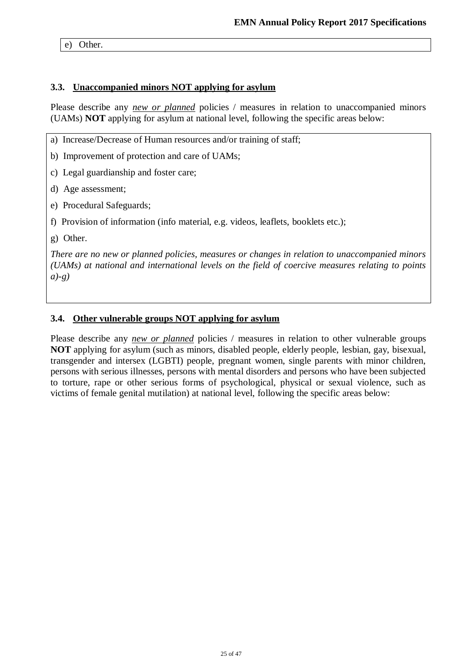e) Other.

#### **3.3. Unaccompanied minors NOT applying for asylum**

Please describe any *new or planned* policies / measures in relation to unaccompanied minors (UAMs) **NOT** applying for asylum at national level, following the specific areas below:

a) Increase/Decrease of Human resources and/or training of staff;

b) Improvement of protection and care of UAMs;

c) Legal guardianship and foster care;

d) Age assessment;

e) Procedural Safeguards;

f) Provision of information (info material, e.g. videos, leaflets, booklets etc.);

g) Other.

*There are no new or planned policies, measures or changes in relation to unaccompanied minors (UAMs) at national and international levels on the field of coercive measures relating to points a)-g)*

# **3.4. Other vulnerable groups NOT applying for asylum**

Please describe any *new or planned* policies / measures in relation to other vulnerable groups **NOT** applying for asylum (such as minors, disabled people, elderly people, lesbian, gay, bisexual, transgender and intersex (LGBTI) people, pregnant women, single parents with minor children, persons with serious illnesses, persons with mental disorders and persons who have been subjected to torture, rape or other serious forms of psychological, physical or sexual violence, such as victims of female genital mutilation) at national level, following the specific areas below: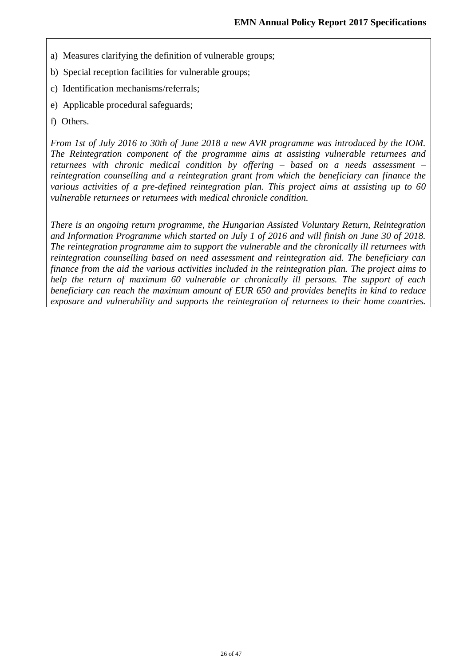- a) Measures clarifying the definition of vulnerable groups;
- b) Special reception facilities for vulnerable groups;
- c) Identification mechanisms/referrals;
- e) Applicable procedural safeguards;
- f) Others.

*From 1st of July 2016 to 30th of June 2018 a new AVR programme was introduced by the IOM. The Reintegration component of the programme aims at assisting vulnerable returnees and returnees with chronic medical condition by offering – based on a needs assessment – reintegration counselling and a reintegration grant from which the beneficiary can finance the various activities of a pre-defined reintegration plan. This project aims at assisting up to 60 vulnerable returnees or returnees with medical chronicle condition.*

*There is an ongoing return programme, the Hungarian Assisted Voluntary Return, Reintegration and Information Programme which started on July 1 of 2016 and will finish on June 30 of 2018. The reintegration programme aim to support the vulnerable and the chronically ill returnees with reintegration counselling based on need assessment and reintegration aid. The beneficiary can finance from the aid the various activities included in the reintegration plan. The project aims to help the return of maximum 60 vulnerable or chronically ill persons. The support of each beneficiary can reach the maximum amount of EUR 650 and provides benefits in kind to reduce exposure and vulnerability and supports the reintegration of returnees to their home countries.*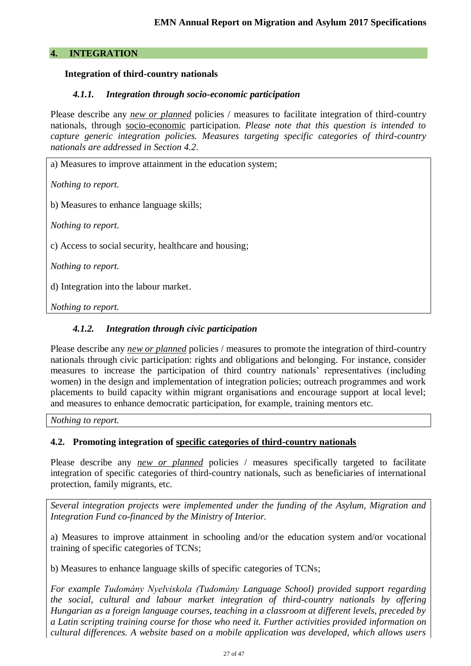# **4. INTEGRATION**

### **Integration of third-country nationals**

### *4.1.1. Integration through socio-economic participation*

Please describe any *new or planned* policies / measures to facilitate integration of third-country nationals, through socio-economic participation. *Please note that this question is intended to capture generic integration policies. Measures targeting specific categories of third-country nationals are addressed in Section 4.2*.

a) Measures to improve attainment in the education system;

*Nothing to report.* 

b) Measures to enhance language skills;

*Nothing to report.* 

c) Access to social security, healthcare and housing;

*Nothing to report.* 

d) Integration into the labour market.

*Nothing to report.* 

### *4.1.2. Integration through civic participation*

Please describe any *new or planned* policies / measures to promote the integration of third-country nationals through civic participation: rights and obligations and belonging. For instance, consider measures to increase the participation of third country nationals' representatives (including women) in the design and implementation of integration policies; outreach programmes and work placements to build capacity within migrant organisations and encourage support at local level; and measures to enhance democratic participation, for example, training mentors etc.

*Nothing to report.* 

# **4.2. Promoting integration of specific categories of third-country nationals**

Please describe any *new or planned* policies / measures specifically targeted to facilitate integration of specific categories of third-country nationals, such as beneficiaries of international protection, family migrants, etc.

*Several integration projects were implemented under the funding of the Asylum, Migration and Integration Fund co-financed by the Ministry of Interior.*

a) Measures to improve attainment in schooling and/or the education system and/or vocational training of specific categories of TCNs;

b) Measures to enhance language skills of specific categories of TCNs;

*For example Tudomány Nyelviskola (Tudomány Language School) provided support regarding the social, cultural and labour market integration of third-country nationals by offering Hungarian as a foreign language courses, teaching in a classroom at different levels, preceded by a Latin scripting training course for those who need it. Further activities provided information on cultural differences. A website based on a mobile application was developed, which allows users*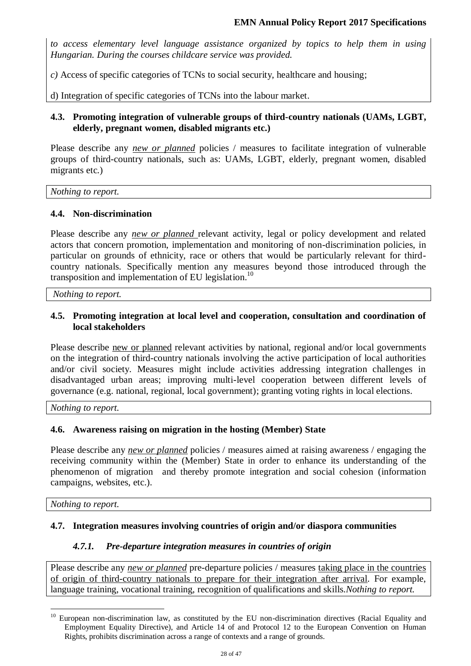*to access elementary level language assistance organized by topics to help them in using Hungarian. During the courses childcare service was provided.*

*c)* Access of specific categories of TCNs to social security, healthcare and housing;

d) Integration of specific categories of TCNs into the labour market.

### **4.3. Promoting integration of vulnerable groups of third-country nationals (UAMs, LGBT, elderly, pregnant women, disabled migrants etc.)**

Please describe any *new or planned* policies / measures to facilitate integration of vulnerable groups of third-country nationals, such as: UAMs, LGBT, elderly, pregnant women, disabled migrants etc.)

*Nothing to report.* 

# **4.4. Non-discrimination**

Please describe any *new or planned* relevant activity, legal or policy development and related actors that concern promotion, implementation and monitoring of non-discrimination policies, in particular on grounds of ethnicity, race or others that would be particularly relevant for thirdcountry nationals. Specifically mention any measures beyond those introduced through the transposition and implementation of EU legislation.<sup>10</sup>

*Nothing to report.* 

### **4.5. Promoting integration at local level and cooperation, consultation and coordination of local stakeholders**

Please describe new or planned relevant activities by national, regional and/or local governments on the integration of third-country nationals involving the active participation of local authorities and/or civil society. Measures might include activities addressing integration challenges in disadvantaged urban areas; improving multi-level cooperation between different levels of governance (e.g. national, regional, local government); granting voting rights in local elections.

*Nothing to report.* 

# **4.6. Awareness raising on migration in the hosting (Member) State**

Please describe any *new or planned* policies / measures aimed at raising awareness / engaging the receiving community within the (Member) State in order to enhance its understanding of the phenomenon of migration and thereby promote integration and social cohesion (information campaigns, websites, etc.).

*Nothing to report.* 

 $\overline{a}$ 

#### **4.7. Integration measures involving countries of origin and/or diaspora communities**

#### *4.7.1. Pre-departure integration measures in countries of origin*

Please describe any *new or planned* pre-departure policies / measures taking place in the countries of origin of third-country nationals to prepare for their integration after arrival. For example, language training, vocational training, recognition of qualifications and skills.*Nothing to report.* 

<sup>&</sup>lt;sup>10</sup> European non-discrimination law, as constituted by the EU non-discrimination directives (Racial Equality and Employment Equality Directive), and Article 14 of and Protocol 12 to the European Convention on Human Rights, prohibits discrimination across a range of contexts and a range of grounds.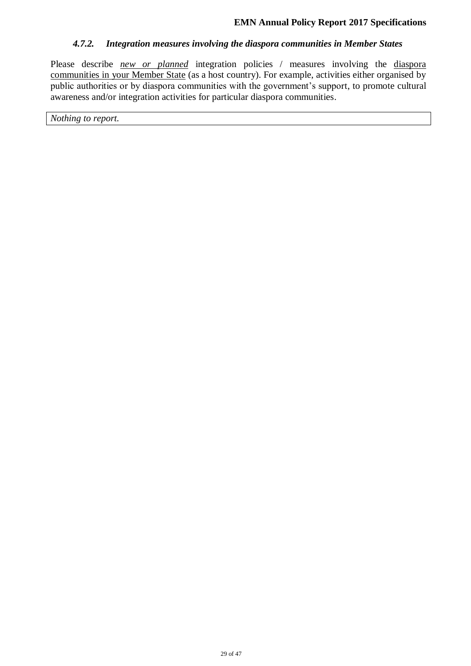#### *4.7.2. Integration measures involving the diaspora communities in Member States*

Please describe *new or planned* integration policies / measures involving the diasporal communities in your Member State (as a host country). For example, activities either organised by public authorities or by diaspora communities with the government's support, to promote cultural awareness and/or integration activities for particular diaspora communities.

*Nothing to report.*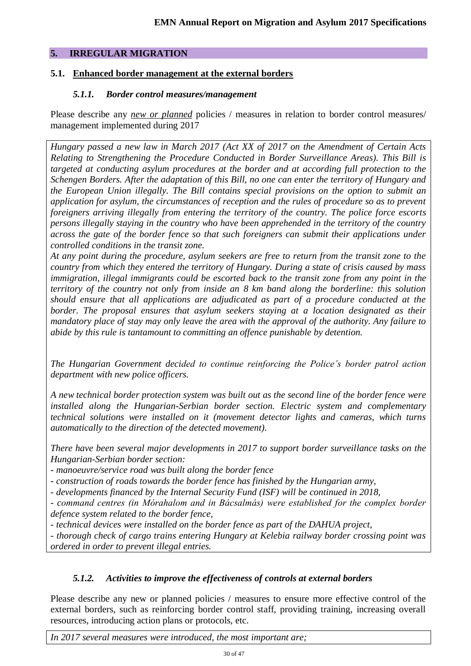# **5. IRREGULAR MIGRATION**

# **5.1. Enhanced border management at the external borders**

### *5.1.1. Border control measures/management*

Please describe any *new or planned* policies / measures in relation to border control measures/ management implemented during 2017

*Hungary passed a new law in March 2017 (Act XX of 2017 on the Amendment of Certain Acts Relating to Strengthening the Procedure Conducted in Border Surveillance Areas). This Bill is targeted at conducting asylum procedures at the border and at according full protection to the Schengen Borders. After the adaptation of this Bill, no one can enter the territory of Hungary and the European Union illegally. The Bill contains special provisions on the option to submit an application for asylum, the circumstances of reception and the rules of procedure so as to prevent foreigners arriving illegally from entering the territory of the country. The police force escorts persons illegally staying in the country who have been apprehended in the territory of the country across the gate of the border fence so that such foreigners can submit their applications under controlled conditions in the transit zone.*

*At any point during the procedure, asylum seekers are free to return from the transit zone to the country from which they entered the territory of Hungary. During a state of crisis caused by mass immigration, illegal immigrants could be escorted back to the transit zone from any point in the territory of the country not only from inside an 8 km band along the borderline: this solution should ensure that all applications are adjudicated as part of a procedure conducted at the border. The proposal ensures that asylum seekers staying at a location designated as their mandatory place of stay may only leave the area with the approval of the authority. Any failure to abide by this rule is tantamount to committing an offence punishable by detention.*

*The Hungarian Government decided to continue reinforcing the Police's border patrol action department with new police officers.*

*A new technical border protection system was built out as the second line of the border fence were installed along the Hungarian-Serbian border section. Electric system and complementary technical solutions were installed on it (movement detector lights and cameras, which turns automatically to the direction of the detected movement).*

*There have been several major developments in 2017 to support border surveillance tasks on the Hungarian-Serbian border section:* 

*- manoeuvre/service road was built along the border fence*

*- construction of roads towards the border fence has finished by the Hungarian army,*

*- developments financed by the Internal Security Fund (ISF) will be continued in 2018,*

*- command centres (in Mórahalom and in Bácsalmás) were established for the complex border defence system related to the border fence,*

*- technical devices were installed on the border fence as part of the DAHUA project,*

*- thorough check of cargo trains entering Hungary at Kelebia railway border crossing point was ordered in order to prevent illegal entries.*

# *5.1.2. Activities to improve the effectiveness of controls at external borders*

Please describe any new or planned policies / measures to ensure more effective control of the external borders, such as reinforcing border control staff, providing training, increasing overall resources, introducing action plans or protocols, etc.

*In 2017 several measures were introduced, the most important are;*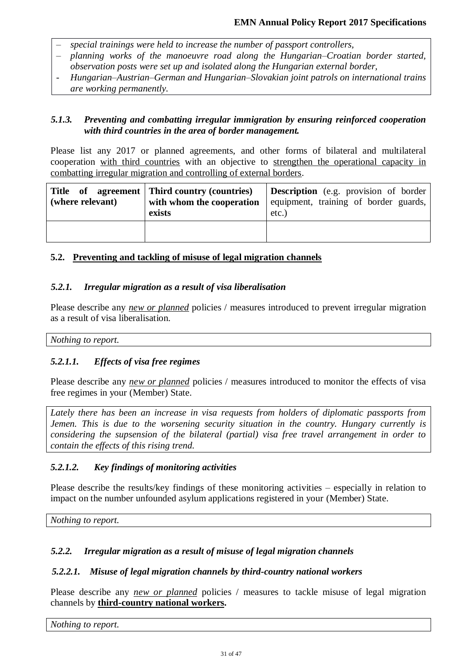- *special trainings were held to increase the number of passport controllers,*
- *planning works of the manoeuvre road along the Hungarian–Croatian border started, observation posts were set up and isolated along the Hungarian external border,*
- *Hungarian–Austrian–German and Hungarian–Slovakian joint patrols on international trains are working permanently.*

### *5.1.3. Preventing and combatting irregular immigration by ensuring reinforced cooperation with third countries in the area of border management.*

Please list any 2017 or planned agreements, and other forms of bilateral and multilateral cooperation with third countries with an objective to strengthen the operational capacity in combatting irregular migration and controlling of external borders.

| (where relevant) | Title of agreement Third country (countries)<br>with whom the cooperation<br>exists | <b>Description</b> (e.g. provision of border<br>equipment, training of border guards,<br>$etc.$ ) |
|------------------|-------------------------------------------------------------------------------------|---------------------------------------------------------------------------------------------------|
|                  |                                                                                     |                                                                                                   |

# **5.2. Preventing and tackling of misuse of legal migration channels**

### *5.2.1. Irregular migration as a result of visa liberalisation*

Please describe any *new or planned* policies / measures introduced to prevent irregular migration as a result of visa liberalisation.

*Nothing to report.* 

# *5.2.1.1. Effects of visa free regimes*

Please describe any *new or planned* policies / measures introduced to monitor the effects of visa free regimes in your (Member) State.

*Lately there has been an increase in visa requests from holders of diplomatic passports from Jemen. This is due to the worsening security situation in the country. Hungary currently is considering the supsension of the bilateral (partial) visa free travel arrangement in order to contain the effects of this rising trend.*

# *5.2.1.2. Key findings of monitoring activities*

Please describe the results/key findings of these monitoring activities – especially in relation to impact on the number unfounded asylum applications registered in your (Member) State.

*Nothing to report.* 

# *5.2.2. Irregular migration as a result of misuse of legal migration channels*

# *5.2.2.1. Misuse of legal migration channels by third-country national workers*

Please describe any *new or planned* policies / measures to tackle misuse of legal migration channels by **third-country national workers.**

*Nothing to report.*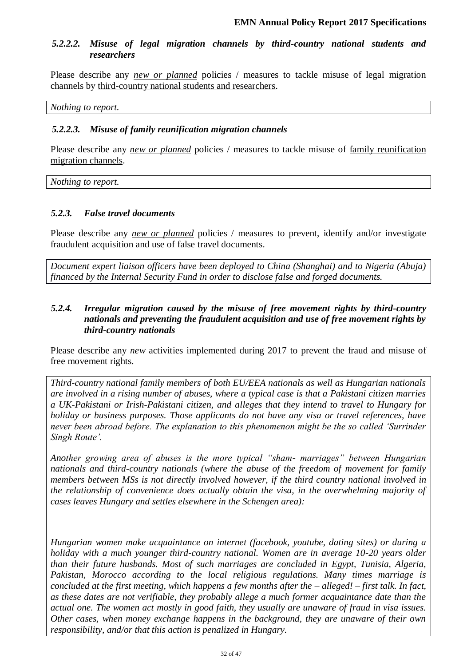### *5.2.2.2. Misuse of legal migration channels by third-country national students and researchers*

Please describe any *new or planned* policies / measures to tackle misuse of legal migration channels by third-country national students and researchers.

*Nothing to report.*

### *5.2.2.3. Misuse of family reunification migration channels*

Please describe any *new or planned* policies / measures to tackle misuse of family reunification migration channels.

*Nothing to report.* 

### *5.2.3. False travel documents*

Please describe any *new or planned* policies / measures to prevent, identify and/or investigate fraudulent acquisition and use of false travel documents.

*Document expert liaison officers have been deployed to China (Shanghai) and to Nigeria (Abuja) financed by the Internal Security Fund in order to disclose false and forged documents.*

### *5.2.4. Irregular migration caused by the misuse of free movement rights by third-country nationals and preventing the fraudulent acquisition and use of free movement rights by third-country nationals*

Please describe any *new* activities implemented during 2017 to prevent the fraud and misuse of free movement rights.

*Third-country national family members of both EU/EEA nationals as well as Hungarian nationals are involved in a rising number of abuses, where a typical case is that a Pakistani citizen marries a UK-Pakistani or Irish-Pakistani citizen, and alleges that they intend to travel to Hungary for holiday or business purposes. Those applicants do not have any visa or travel references, have*  never been abroad before. The explanation to this phenomenon might be the so called 'Surrinder *Singh Route'.*

*Another growing area of abuses is the more typical "sham- marriages" between Hungarian nationals and third-country nationals (where the abuse of the freedom of movement for family members between MSs is not directly involved however, if the third country national involved in the relationship of convenience does actually obtain the visa, in the overwhelming majority of cases leaves Hungary and settles elsewhere in the Schengen area):*

*Hungarian women make acquaintance on internet (facebook, youtube, dating sites) or during a holiday with a much younger third-country national. Women are in average 10-20 years older than their future husbands. Most of such marriages are concluded in Egypt, Tunisia, Algeria, Pakistan, Morocco according to the local religious regulations. Many times marriage is concluded at the first meeting, which happens a few months after the – alleged! – first talk. In fact, as these dates are not verifiable, they probably allege a much former acquaintance date than the actual one. The women act mostly in good faith, they usually are unaware of fraud in visa issues. Other cases, when money exchange happens in the background, they are unaware of their own responsibility, and/or that this action is penalized in Hungary.*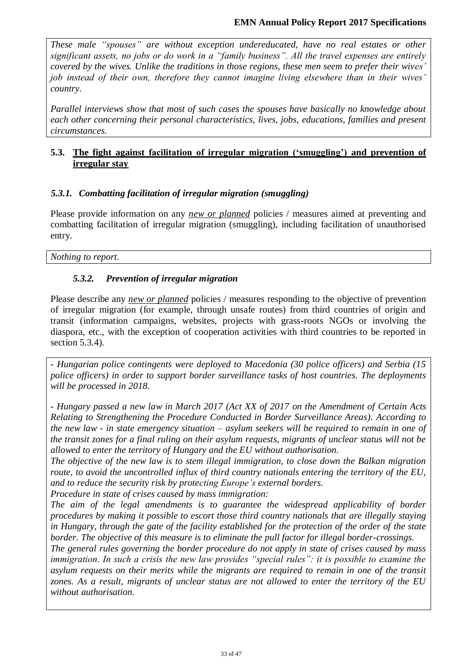*These male "spouses" are without exception undereducated, have no real estates or other significant assets, no jobs or do work in a "family business". All the travel expenses are entirely covered by the wives. Unlike the traditions in those regions, these men seem to prefer their wives' job instead of their own, therefore they cannot imagine living elsewhere than in their wives' country.* 

*Parallel interviews show that most of such cases the spouses have basically no knowledge about each other concerning their personal characteristics, lives, jobs, educations, families and present circumstances.*

# **5.3. The fight against facilitation of irregular migration ('smuggling') and prevention of irregular stay**

# *5.3.1. Combatting facilitation of irregular migration (smuggling)*

Please provide information on any *new or planned* policies / measures aimed at preventing and combatting facilitation of irregular migration (smuggling), including facilitation of unauthorised entry.

*Nothing to report.* 

# *5.3.2. Prevention of irregular migration*

Please describe any *new or planned* policies / measures responding to the objective of prevention of irregular migration (for example, through unsafe routes) from third countries of origin and transit (information campaigns, websites, projects with grass-roots NGOs or involving the diaspora, etc., with the exception of cooperation activities with third countries to be reported in section 5.3.4).

- *Hungarian police contingents were deployed to Macedonia (30 police officers) and Serbia (15 police officers) in order to support border surveillance tasks of host countries. The deployments will be processed in 2018.*

*- Hungary passed a new law in March 2017 (Act XX of 2017 on the Amendment of Certain Acts Relating to Strengthening the Procedure Conducted in Border Surveillance Areas). According to the new law - in state emergency situation – asylum seekers will be required to remain in one of the transit zones for a final ruling on their asylum requests, migrants of unclear status will not be allowed to enter the territory of Hungary and the EU without authorisation.* 

*The objective of the new law is to stem illegal immigration, to close down the Balkan migration route, to avoid the uncontrolled influx of third country nationals entering the territory of the EU, and to reduce the security risk by protecting Europe's external borders.*

*Procedure in state of crises caused by mass immigration:* 

The aim of the legal amendments is to guarantee the widespread applicability of border *procedures by making it possible to escort those third country nationals that are illegally staying in Hungary, through the gate of the facility established for the protection of the order of the state border. The objective of this measure is to eliminate the pull factor for illegal border-crossings.* 

*The general rules governing the border procedure do not apply in state of crises caused by mass immigration. In such a crisis the new law provides "special rules": it is possible to examine the asylum requests on their merits while the migrants are required to remain in one of the transit zones. As a result, migrants of unclear status are not allowed to enter the territory of the EU without authorisation.*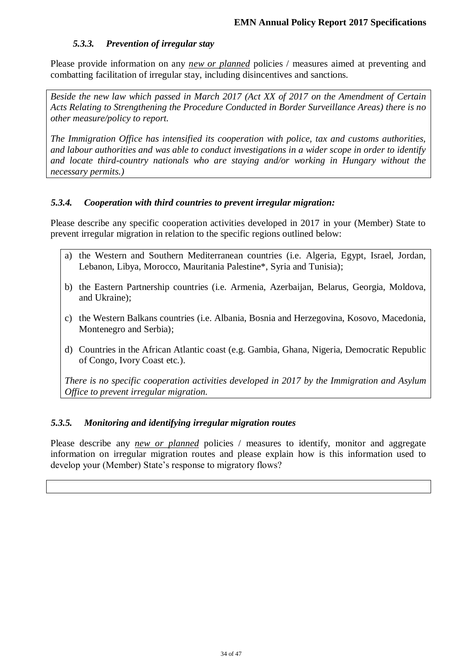### *5.3.3. Prevention of irregular stay*

Please provide information on any *new or planned* policies / measures aimed at preventing and combatting facilitation of irregular stay, including disincentives and sanctions.

*Beside the new law which passed in March 2017 (Act XX of 2017 on the Amendment of Certain Acts Relating to Strengthening the Procedure Conducted in Border Surveillance Areas) there is no other measure/policy to report.* 

*The Immigration Office has intensified its cooperation with police, tax and customs authorities, and labour authorities and was able to conduct investigations in a wider scope in order to identify and locate third-country nationals who are staying and/or working in Hungary without the necessary permits.)*

### *5.3.4. Cooperation with third countries to prevent irregular migration:*

Please describe any specific cooperation activities developed in 2017 in your (Member) State to prevent irregular migration in relation to the specific regions outlined below:

- a) the Western and Southern Mediterranean countries (i.e. Algeria, Egypt, Israel, Jordan, Lebanon, Libya, Morocco, Mauritania Palestine\*, Syria and Tunisia);
- b) the Eastern Partnership countries (i.e. Armenia, Azerbaijan, Belarus, Georgia, Moldova, and Ukraine);
- c) the Western Balkans countries (i.e. Albania, Bosnia and Herzegovina, Kosovo, Macedonia, Montenegro and Serbia);
- d) Countries in the African Atlantic coast (e.g. Gambia, Ghana, Nigeria, Democratic Republic of Congo, Ivory Coast etc.).

*There is no specific cooperation activities developed in 2017 by the Immigration and Asylum Office to prevent irregular migration.*

# *5.3.5. Monitoring and identifying irregular migration routes*

Please describe any *new or planned* policies / measures to identify, monitor and aggregate information on irregular migration routes and please explain how is this information used to develop your (Member) State's response to migratory flows?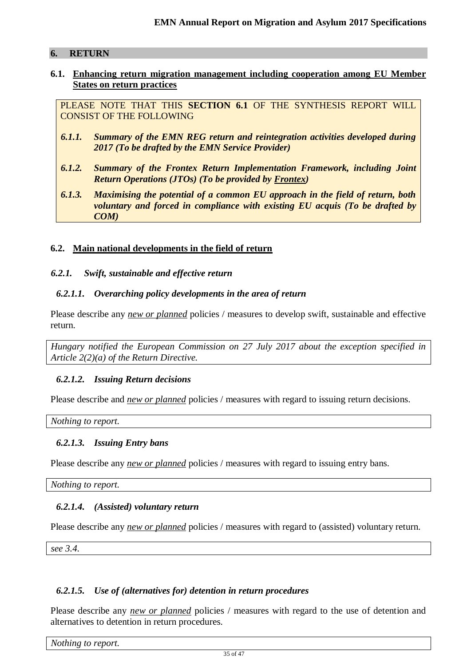### **6. RETURN**

#### **6.1. Enhancing return migration management including cooperation among EU Member States on return practices**

PLEASE NOTE THAT THIS **SECTION 6.1** OF THE SYNTHESIS REPORT WILL CONSIST OF THE FOLLOWING

- *6.1.1. Summary of the EMN REG return and reintegration activities developed during 2017 (To be drafted by the EMN Service Provider)*
- *6.1.2. Summary of the Frontex Return Implementation Framework, including Joint Return Operations (JTOs) (To be provided by Frontex)*
- *6.1.3. Maximising the potential of a common EU approach in the field of return, both voluntary and forced in compliance with existing EU acquis (To be drafted by COM)*

# **6.2. Main national developments in the field of return**

#### *6.2.1. Swift, sustainable and effective return*

### *6.2.1.1. Overarching policy developments in the area of return*

Please describe any *new or planned* policies / measures to develop swift, sustainable and effective return.

*Hungary notified the European Commission on 27 July 2017 about the exception specified in Article 2(2)(a) of the Return Directive.*

#### *6.2.1.2. Issuing Return decisions*

Please describe and *new or planned* policies / measures with regard to issuing return decisions.

*Nothing to report.* 

#### *6.2.1.3. Issuing Entry bans*

Please describe any *new or planned* policies / measures with regard to issuing entry bans.

*Nothing to report.* 

# *6.2.1.4. (Assisted) voluntary return*

Please describe any *new or planned* policies / measures with regard to (assisted) voluntary return.

*see 3.4.*

# *6.2.1.5. Use of (alternatives for) detention in return procedures*

Please describe any *new or planned* policies / measures with regard to the use of detention and alternatives to detention in return procedures.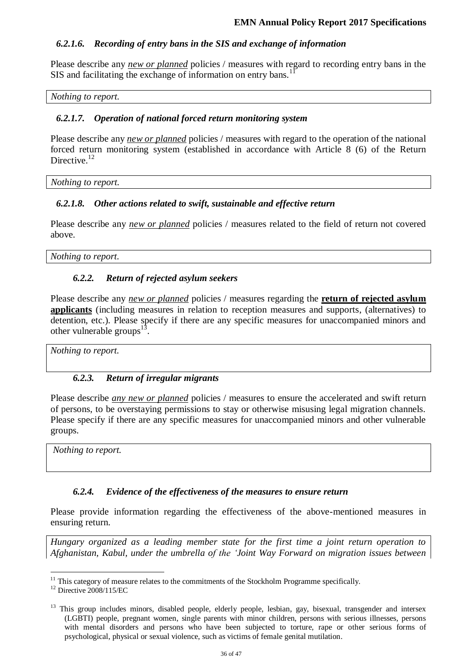# *6.2.1.6. Recording of entry bans in the SIS and exchange of information*

Please describe any *new or planned* policies / measures with regard to recording entry bans in the SIS and facilitating the exchange of information on entry bans.<sup>11</sup>

#### *Nothing to report.*

#### *6.2.1.7. Operation of national forced return monitoring system*

Please describe any *new or planned* policies / measures with regard to the operation of the national forced return monitoring system (established in accordance with Article 8 (6) of the Return Directive.<sup>12</sup>

*Nothing to report.* 

### *6.2.1.8. Other actions related to swift, sustainable and effective return*

Please describe any *new or planned* policies / measures related to the field of return not covered above.

*Nothing to report.* 

### *6.2.2. Return of rejected asylum seekers*

Please describe any *new or planned* policies / measures regarding the **return of rejected asylum applicants** (including measures in relation to reception measures and supports, (alternatives) to detention, etc.). Please specify if there are any specific measures for unaccompanied minors and other vulnerable groups<sup>1</sup> .

*Nothing to report.* 

#### *6.2.3. Return of irregular migrants*

Please describe *any new or planned* policies / measures to ensure the accelerated and swift return of persons, to be overstaying permissions to stay or otherwise misusing legal migration channels. Please specify if there are any specific measures for unaccompanied minors and other vulnerable groups.

*Nothing to report.* 

#### *6.2.4. Evidence of the effectiveness of the measures to ensure return*

Please provide information regarding the effectiveness of the above-mentioned measures in ensuring return.

*Hungary organized as a leading member state for the first time a joint return operation to Afghanistan, Kabul, under the umbrella of the 'Joint Way Forward on migration issues between* 

 $\overline{a}$ 

 $11$  This category of measure relates to the commitments of the Stockholm Programme specifically.

<sup>&</sup>lt;sup>12</sup> Directive 2008/115/EC

<sup>&</sup>lt;sup>13</sup> This group includes minors, disabled people, elderly people, lesbian, gay, bisexual, transgender and intersex (LGBTI) people, pregnant women, single parents with minor children, persons with serious illnesses, persons with mental disorders and persons who have been subjected to torture, rape or other serious forms of psychological, physical or sexual violence, such as victims of female genital mutilation.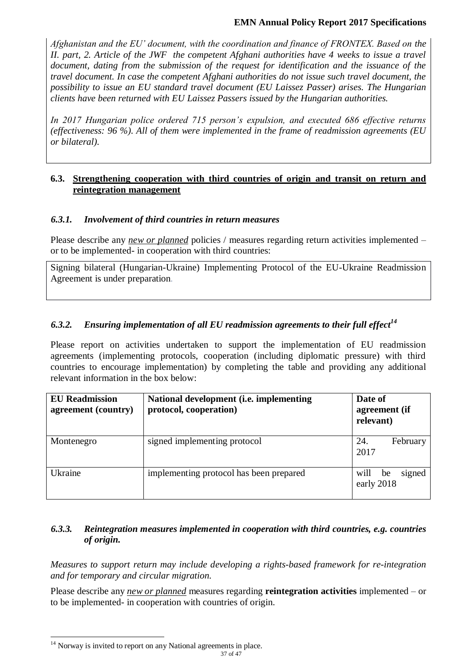# **EMN Annual Policy Report 2017 Specifications**

*Afghanistan and the EU' document, with the coordination and finance of FRONTEX. Based on the II. part, 2. Article of the JWF the competent Afghani authorities have 4 weeks to issue a travel document, dating from the submission of the request for identification and the issuance of the travel document. In case the competent Afghani authorities do not issue such travel document, the possibility to issue an EU standard travel document (EU Laissez Passer) arises. The Hungarian clients have been returned with EU Laissez Passers issued by the Hungarian authorities.*

*In 2017 Hungarian police ordered 715 person's expulsion, and executed 686 effective returns (effectiveness: 96 %). All of them were implemented in the frame of readmission agreements (EU or bilateral).*

# **6.3. Strengthening cooperation with third countries of origin and transit on return and reintegration management**

### *6.3.1. Involvement of third countries in return measures*

Please describe any *new or planned* policies / measures regarding return activities implemented – or to be implemented- in cooperation with third countries:

Signing bilateral (Hungarian-Ukraine) Implementing Protocol of the EU-Ukraine Readmission Agreement is under preparation*.*

# *6.3.2. Ensuring implementation of all EU readmission agreements to their full effect<sup>14</sup>*

Please report on activities undertaken to support the implementation of EU readmission agreements (implementing protocols, cooperation (including diplomatic pressure) with third countries to encourage implementation) by completing the table and providing any additional relevant information in the box below:

| <b>EU</b> Readmission<br>agreement (country) | National development (i.e. implementing<br>protocol, cooperation) | Date of<br>agreement (if<br>relevant) |
|----------------------------------------------|-------------------------------------------------------------------|---------------------------------------|
| Montenegro                                   | signed implementing protocol                                      | February<br>24.<br>2017               |
| Ukraine                                      | implementing protocol has been prepared                           | signed<br>will<br>be<br>early 2018    |

# *6.3.3. Reintegration measures implemented in cooperation with third countries, e.g. countries of origin.*

*Measures to support return may include developing a rights-based framework for re-integration and for temporary and circular migration.* 

Please describe any *new or planned* measures regarding **reintegration activities** implemented – or to be implemented- in cooperation with countries of origin.

 $\overline{a}$  $14$  Norway is invited to report on any National agreements in place.

<sup>37</sup> of 47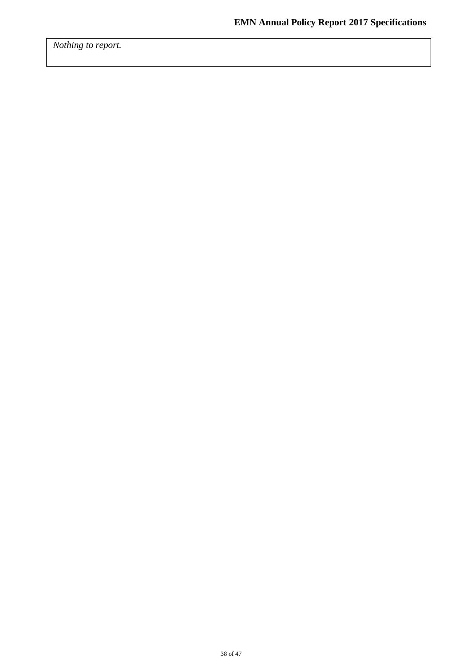*Nothing to report.*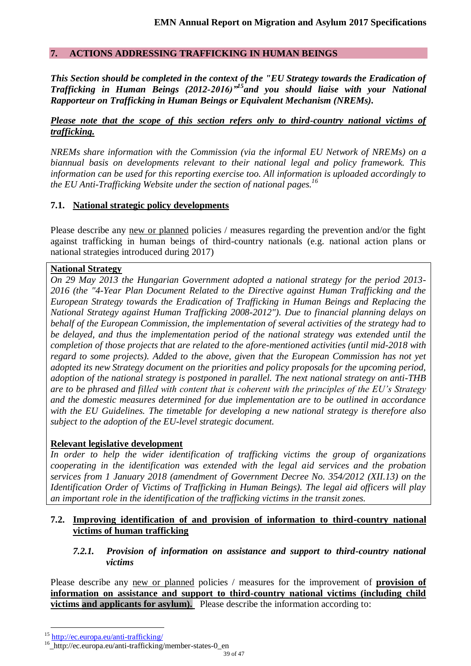### **7. ACTIONS ADDRESSING TRAFFICKING IN HUMAN BEINGS**

*This Section should be completed in the context of the "EU Strategy towards the Eradication of Trafficking in Human Beings (2012-2016)"<sup>15</sup>and you should liaise with your National Rapporteur on Trafficking in Human Beings or Equivalent Mechanism (NREMs).*

### *Please note that the scope of this section refers only to third-country national victims of trafficking.*

*NREMs share information with the Commission (via the informal EU Network of NREMs) on a biannual basis on developments relevant to their national legal and policy framework. This information can be used for this reporting exercise too. All information is uploaded accordingly to the EU Anti-Trafficking Website under the section of national pages.<sup>16</sup>*

### **7.1. National strategic policy developments**

Please describe any new or planned policies / measures regarding the prevention and/or the fight against trafficking in human beings of third-country nationals (e.g. national action plans or national strategies introduced during 2017)

#### **National Strategy**

*On 29 May 2013 the Hungarian Government adopted a national strategy for the period 2013- 2016 (the "4-Year Plan Document Related to the Directive against Human Trafficking and the European Strategy towards the Eradication of Trafficking in Human Beings and Replacing the National Strategy against Human Trafficking 2008-2012"). Due to financial planning delays on behalf of the European Commission, the implementation of several activities of the strategy had to be delayed, and thus the implementation period of the national strategy was extended until the completion of those projects that are related to the afore-mentioned activities (until mid-2018 with regard to some projects). Added to the above, given that the European Commission has not yet adopted its new Strategy document on the priorities and policy proposals for the upcoming period, adoption of the national strategy is postponed in parallel. The next national strategy on anti-THB are to be phrased and filled with content that is coherent with the principles of the EU's Strategy and the domestic measures determined for due implementation are to be outlined in accordance with the EU Guidelines. The timetable for developing a new national strategy is therefore also subject to the adoption of the EU-level strategic document.*

# **Relevant legislative development**

*In order to help the wider identification of trafficking victims the group of organizations cooperating in the identification was extended with the legal aid services and the probation services from 1 January 2018 (amendment of Government Decree No. 354/2012 (XII.13) on the Identification Order of Victims of Trafficking in Human Beings). The legal aid officers will play an important role in the identification of the trafficking victims in the transit zones.*

### **7.2. Improving identification of and provision of information to third-country national victims of human trafficking**

### *7.2.1. Provision of information on assistance and support to third-country national victims*

Please describe any new or planned policies / measures for the improvement of **provision of information on assistance and support to third-country national victims (including child victims and applicants for asylum).** Please describe the information according to:

 $\overline{a}$ 

<sup>15</sup> <http://ec.europa.eu/anti-trafficking/>

<sup>16</sup> \_http://ec.europa.eu/anti-trafficking/member-states-0\_en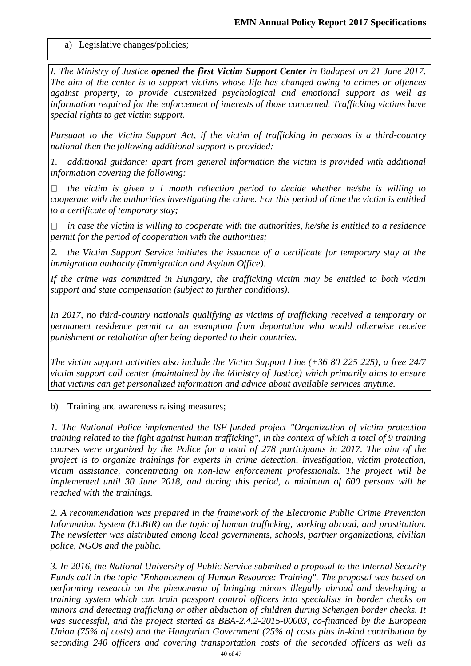a) Legislative changes/policies;

*I. The Ministry of Justice opened the first Victim Support Center in Budapest on 21 June 2017. The aim of the center is to support victims whose life has changed owing to crimes or offences against property, to provide customized psychological and emotional support as well as information required for the enforcement of interests of those concerned. Trafficking victims have special rights to get victim support.*

*Pursuant to the Victim Support Act, if the victim of trafficking in persons is a third-country national then the following additional support is provided:*

*1. additional guidance: apart from general information the victim is provided with additional information covering the following:*

*the victim is given a 1 month reflection period to decide whether he/she is willing to cooperate with the authorities investigating the crime. For this period of time the victim is entitled to a certificate of temporary stay;*

*in case the victim is willing to cooperate with the authorities, he/she is entitled to a residence permit for the period of cooperation with the authorities;*

*2. the Victim Support Service initiates the issuance of a certificate for temporary stay at the immigration authority (Immigration and Asylum Office).*

*If the crime was committed in Hungary, the trafficking victim may be entitled to both victim support and state compensation (subject to further conditions).*

*In 2017, no third-country nationals qualifying as victims of trafficking received a temporary or permanent residence permit or an exemption from deportation who would otherwise receive punishment or retaliation after being deported to their countries.*

*The victim support activities also include the Victim Support Line (+36 80 225 225), a free 24/7 victim support call center (maintained by the Ministry of Justice) which primarily aims to ensure that victims can get personalized information and advice about available services anytime.*

b) Training and awareness raising measures;

*1. The National Police implemented the ISF-funded project "Organization of victim protection training related to the fight against human trafficking", in the context of which a total of 9 training courses were organized by the Police for a total of 278 participants in 2017. The aim of the project is to organize trainings for experts in crime detection, investigation, victim protection, victim assistance, concentrating on non-law enforcement professionals. The project will be implemented until 30 June 2018, and during this period, a minimum of 600 persons will be reached with the trainings.*

*2. A recommendation was prepared in the framework of the Electronic Public Crime Prevention Information System (ELBIR) on the topic of human trafficking, working abroad, and prostitution. The newsletter was distributed among local governments, schools, partner organizations, civilian police, NGOs and the public.*

*3. In 2016, the National University of Public Service submitted a proposal to the Internal Security Funds call in the topic "Enhancement of Human Resource: Training". The proposal was based on performing research on the phenomena of bringing minors illegally abroad and developing a training system which can train passport control officers into specialists in border checks on minors and detecting trafficking or other abduction of children during Schengen border checks. It was successful, and the project started as BBA-2.4.2-2015-00003, co-financed by the European Union (75% of costs) and the Hungarian Government (25% of costs plus in-kind contribution by seconding 240 officers and covering transportation costs of the seconded officers as well as*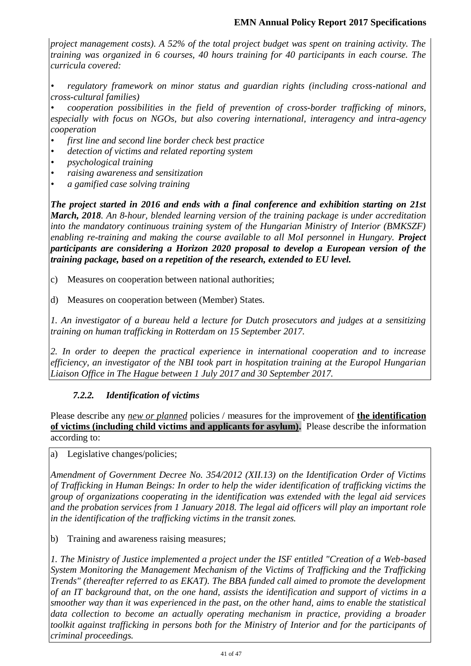*project management costs). A 52% of the total project budget was spent on training activity. The training was organized in 6 courses, 40 hours training for 40 participants in each course. The curricula covered:*

*• regulatory framework on minor status and guardian rights (including cross-national and cross-cultural families)*

*• cooperation possibilities in the field of prevention of cross-border trafficking of minors, especially with focus on NGOs, but also covering international, interagency and intra-agency cooperation* 

- *• first line and second line border check best practice*
- *• detection of victims and related reporting system*
- *• psychological training*
- *• raising awareness and sensitization*
- *• a gamified case solving training*

*The project started in 2016 and ends with a final conference and exhibition starting on 21st March, 2018. An 8-hour, blended learning version of the training package is under accreditation into the mandatory continuous training system of the Hungarian Ministry of Interior (BMKSZF) enabling re-training and making the course available to all MoI personnel in Hungary. Project participants are considering a Horizon 2020 proposal to develop a European version of the training package, based on a repetition of the research, extended to EU level.*

- c) Measures on cooperation between national authorities;
- d) Measures on cooperation between (Member) States.

*1. An investigator of a bureau held a lecture for Dutch prosecutors and judges at a sensitizing training on human trafficking in Rotterdam on 15 September 2017.*

*2. In order to deepen the practical experience in international cooperation and to increase efficiency, an investigator of the NBI took part in hospitation training at the Europol Hungarian Liaison Office in The Hague between 1 July 2017 and 30 September 2017.*

# *7.2.2. Identification of victims*

Please describe any *new or planned* policies / measures for the improvement of **the identification of victims (including child victims and applicants for asylum).** Please describe the information according to:

a) Legislative changes/policies;

*Amendment of Government Decree No. 354/2012 (XII.13) on the Identification Order of Victims of Trafficking in Human Beings: In order to help the wider identification of trafficking victims the group of organizations cooperating in the identification was extended with the legal aid services and the probation services from 1 January 2018. The legal aid officers will play an important role in the identification of the trafficking victims in the transit zones.*

b) Training and awareness raising measures;

*1. The Ministry of Justice implemented a project under the ISF entitled "Creation of a Web-based System Monitoring the Management Mechanism of the Victims of Trafficking and the Trafficking Trends" (thereafter referred to as EKAT). The BBA funded call aimed to promote the development of an IT background that, on the one hand, assists the identification and support of victims in a smoother way than it was experienced in the past, on the other hand, aims to enable the statistical*  data collection to become an actually operating mechanism in practice, providing a broader *toolkit against trafficking in persons both for the Ministry of Interior and for the participants of criminal proceedings.*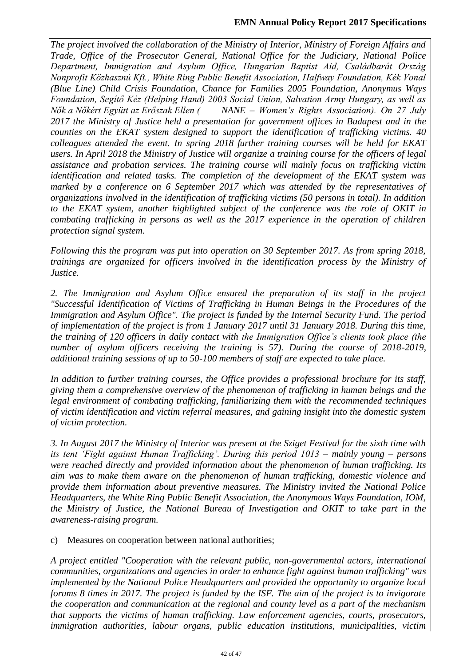*The project involved the collaboration of the Ministry of Interior, Ministry of Foreign Affairs and Trade, Office of the Prosecutor General, National Office for the Judiciary, National Police Department, Immigration and Asylum Office, Hungarian Baptist Aid, Családbarát Ország Nonprofit Közhasznú Kft., White Ring Public Benefit Association, Halfway Foundation, Kék Vonal (Blue Line) Child Crisis Foundation, Chance for Families 2005 Foundation, Anonymus Ways Foundation, Segítő Kéz (Helping Hand) 2003 Social Union, Salvation Army Hungary, as well as Nők a Nőkért Együtt az Erőszak Ellen ( NANE – Women's Rights Association). On 27 July 2017 the Ministry of Justice held a presentation for government offices in Budapest and in the counties on the EKAT system designed to support the identification of trafficking victims. 40 colleagues attended the event. In spring 2018 further training courses will be held for EKAT users. In April 2018 the Ministry of Justice will organize a training course for the officers of legal assistance and probation services. The training course will mainly focus on trafficking victim identification and related tasks. The completion of the development of the EKAT system was marked by a conference on 6 September 2017 which was attended by the representatives of organizations involved in the identification of trafficking victims (50 persons in total). In addition to the EKAT system, another highlighted subject of the conference was the role of OKIT in combating trafficking in persons as well as the 2017 experience in the operation of children protection signal system.*

*Following this the program was put into operation on 30 September 2017. As from spring 2018, trainings are organized for officers involved in the identification process by the Ministry of Justice.*

2. The Immigration and Asylum Office ensured the preparation of its staff in the project *"Successful Identification of Victims of Trafficking in Human Beings in the Procedures of the Immigration and Asylum Office". The project is funded by the Internal Security Fund. The period of implementation of the project is from 1 January 2017 until 31 January 2018. During this time, the training of 120 officers in daily contact with the Immigration Office's clients took place (the number of asylum officers receiving the training is 57). During the course of 2018-2019, additional training sessions of up to 50-100 members of staff are expected to take place.*

*In addition to further training courses, the Office provides a professional brochure for its staff, giving them a comprehensive overview of the phenomenon of trafficking in human beings and the legal environment of combating trafficking, familiarizing them with the recommended techniques of victim identification and victim referral measures, and gaining insight into the domestic system of victim protection.*

*3. In August 2017 the Ministry of Interior was present at the Sziget Festival for the sixth time with its tent 'Fight against Human Trafficking'. During this period 1013 – mainly young – persons were reached directly and provided information about the phenomenon of human trafficking. Its aim was to make them aware on the phenomenon of human trafficking, domestic violence and provide them information about preventive measures. The Ministry invited the National Police Headquarters, the White Ring Public Benefit Association, the Anonymous Ways Foundation, IOM, the Ministry of Justice, the National Bureau of Investigation and OKIT to take part in the awareness-raising program.*

c) Measures on cooperation between national authorities;

*A project entitled "Cooperation with the relevant public, non-governmental actors, international communities, organizations and agencies in order to enhance fight against human trafficking" was implemented by the National Police Headquarters and provided the opportunity to organize local forums 8 times in 2017. The project is funded by the ISF. The aim of the project is to invigorate the cooperation and communication at the regional and county level as a part of the mechanism that supports the victims of human trafficking. Law enforcement agencies, courts, prosecutors, immigration authorities, labour organs, public education institutions, municipalities, victim*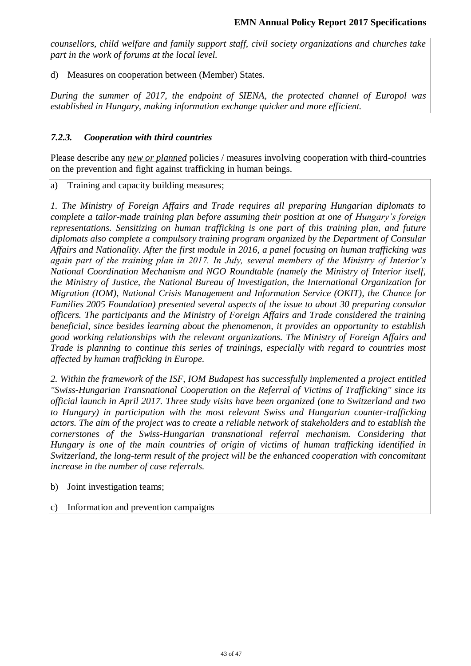*counsellors, child welfare and family support staff, civil society organizations and churches take part in the work of forums at the local level.*

d) Measures on cooperation between (Member) States.

*During the summer of 2017, the endpoint of SIENA, the protected channel of Europol was established in Hungary, making information exchange quicker and more efficient.*

# *7.2.3. Cooperation with third countries*

Please describe any *new or planned* policies / measures involving cooperation with third-countries on the prevention and fight against trafficking in human beings.

a) Training and capacity building measures;

*1. The Ministry of Foreign Affairs and Trade requires all preparing Hungarian diplomats to complete a tailor-made training plan before assuming their position at one of Hungary's foreign representations. Sensitizing on human trafficking is one part of this training plan, and future diplomats also complete a compulsory training program organized by the Department of Consular Affairs and Nationality. After the first module in 2016, a panel focusing on human trafficking was again part of the training plan in 2017. In July, several members of the Ministry of Interior's National Coordination Mechanism and NGO Roundtable (namely the Ministry of Interior itself, the Ministry of Justice, the National Bureau of Investigation, the International Organization for Migration (IOM), National Crisis Management and Information Service (OKIT), the Chance for Families 2005 Foundation) presented several aspects of the issue to about 30 preparing consular officers. The participants and the Ministry of Foreign Affairs and Trade considered the training beneficial, since besides learning about the phenomenon, it provides an opportunity to establish good working relationships with the relevant organizations. The Ministry of Foreign Affairs and Trade is planning to continue this series of trainings, especially with regard to countries most affected by human trafficking in Europe.*

*2. Within the framework of the ISF, IOM Budapest has successfully implemented a project entitled "Swiss-Hungarian Transnational Cooperation on the Referral of Victims of Trafficking" since its official launch in April 2017. Three study visits have been organized (one to Switzerland and two to Hungary) in participation with the most relevant Swiss and Hungarian counter-trafficking actors. The aim of the project was to create a reliable network of stakeholders and to establish the cornerstones of the Swiss-Hungarian transnational referral mechanism. Considering that Hungary is one of the main countries of origin of victims of human trafficking identified in Switzerland, the long-term result of the project will be the enhanced cooperation with concomitant increase in the number of case referrals.*

- b) Joint investigation teams;
- c) Information and prevention campaigns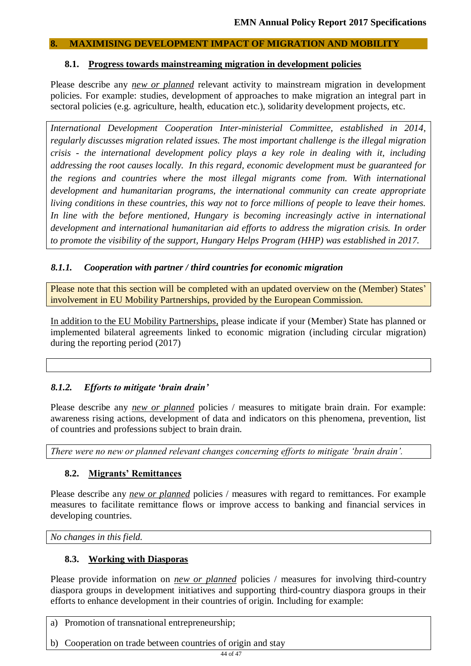### **8. MAXIMISING DEVELOPMENT IMPACT OF MIGRATION AND MOBILITY**

### **8.1. Progress towards mainstreaming migration in development policies**

Please describe any *new or planned* relevant activity to mainstream migration in development policies. For example: studies, development of approaches to make migration an integral part in sectoral policies (e.g. agriculture, health, education etc.), solidarity development projects, etc.

*International Development Cooperation Inter-ministerial Committee, established in 2014, regularly discusses migration related issues. The most important challenge is the illegal migration crisis - the international development policy plays a key role in dealing with it, including addressing the root causes locally. In this regard, economic development must be guaranteed for the regions and countries where the most illegal migrants come from. With international development and humanitarian programs, the international community can create appropriate living conditions in these countries, this way not to force millions of people to leave their homes.*  In line with the before mentioned, Hungary is becoming increasingly active in international *development and international humanitarian aid efforts to address the migration crisis. In order to promote the visibility of the support, Hungary Helps Program (HHP) was established in 2017.*

# *8.1.1. Cooperation with partner / third countries for economic migration*

Please note that this section will be completed with an updated overview on the (Member) States' involvement in EU Mobility Partnerships, provided by the European Commission.

In addition to the EU Mobility Partnerships, please indicate if your (Member) State has planned or implemented bilateral agreements linked to economic migration (including circular migration) during the reporting period (2017)

# *8.1.2. Efforts to mitigate 'brain drain'*

Please describe any *new or planned* policies / measures to mitigate brain drain. For example: awareness rising actions, development of data and indicators on this phenomena, prevention, list of countries and professions subject to brain drain.

*There were no new or planned relevant changes concerning efforts to mitigate 'brain drain'.* 

# **8.2. Migrants' Remittances**

Please describe any *new or planned* policies / measures with regard to remittances. For example measures to facilitate remittance flows or improve access to banking and financial services in developing countries.

*No changes in this field.*

# **8.3. Working with Diasporas**

Please provide information on *new or planned* policies / measures for involving third-country diaspora groups in development initiatives and supporting third-country diaspora groups in their efforts to enhance development in their countries of origin. Including for example:

a) Promotion of transnational entrepreneurship;

b) Cooperation on trade between countries of origin and stay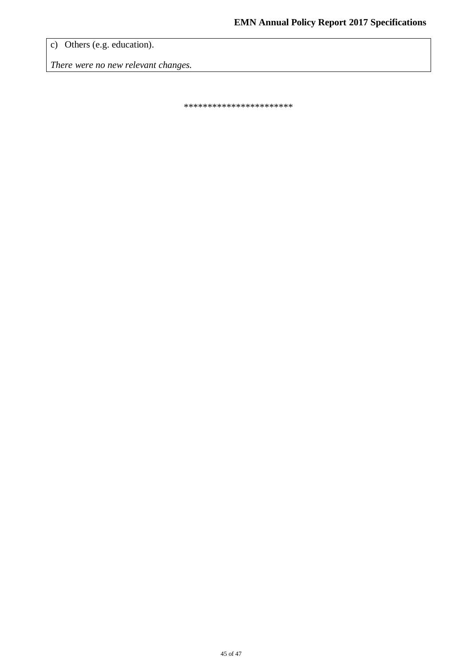c) Others (e.g. education).

*There were no new relevant changes.*

\*\*\*\*\*\*\*\*\*\*\*\*\*\*\*\*\*\*\*\*\*\*\*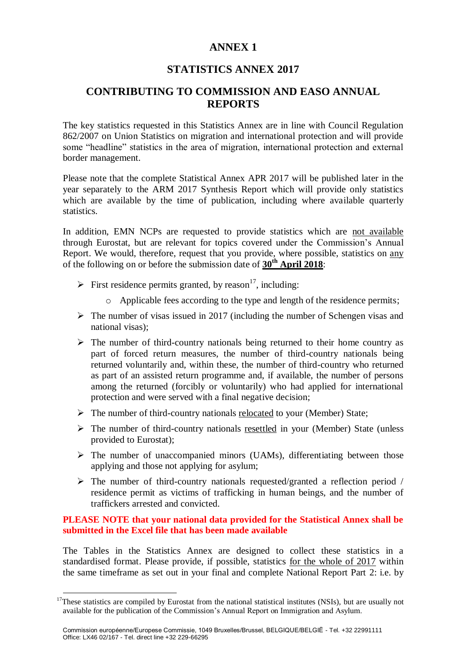# **ANNEX 1**

# **STATISTICS ANNEX 2017**

# **CONTRIBUTING TO COMMISSION AND EASO ANNUAL REPORTS**

The key statistics requested in this Statistics Annex are in line with Council Regulation 862/2007 on Union Statistics on migration and international protection and will provide some "headline" statistics in the area of migration, international protection and external border management.

Please note that the complete Statistical Annex APR 2017 will be published later in the year separately to the ARM 2017 Synthesis Report which will provide only statistics which are available by the time of publication, including where available quarterly statistics.

In addition, EMN NCPs are requested to provide statistics which are not available through Eurostat, but are relevant for topics covered under the Commission's Annual Report. We would, therefore, request that you provide, where possible, statistics on any of the following on or before the submission date of **30th April 2018**:

- First residence permits granted, by reason<sup>17</sup>, including:
	- o Applicable fees according to the type and length of the residence permits;
- $\triangleright$  The number of visas issued in 2017 (including the number of Schengen visas and national visas);
- $\triangleright$  The number of third-country nationals being returned to their home country as part of forced return measures, the number of third-country nationals being returned voluntarily and, within these, the number of third-country who returned as part of an assisted return programme and, if available, the number of persons among the returned (forcibly or voluntarily) who had applied for international protection and were served with a final negative decision;
- $\triangleright$  The number of third-country nationals relocated to your (Member) State;
- $\triangleright$  The number of third-country nationals resettled in your (Member) State (unless provided to Eurostat);
- $\triangleright$  The number of unaccompanied minors (UAMs), differentiating between those applying and those not applying for asylum;
- $\triangleright$  The number of third-country nationals requested/granted a reflection period / residence permit as victims of trafficking in human beings, and the number of traffickers arrested and convicted.

#### **PLEASE NOTE that your national data provided for the Statistical Annex shall be submitted in the Excel file that has been made available**

The Tables in the Statistics Annex are designed to collect these statistics in a standardised format. Please provide, if possible, statistics for the whole of 2017 within the same timeframe as set out in your final and complete National Report Part 2: i.e. by

<u>.</u>

 $17$ These statistics are compiled by Eurostat from the national statistical institutes (NSIs), but are usually not available for the publication of the Commission's Annual Report on Immigration and Asylum.

Commission européenne/Europese Commissie, 1049 Bruxelles/Brussel, BELGIQUE/BELGIË - Tel. +32 22991111 Office: LX46 02/167 - Tel. direct line +32 229-66295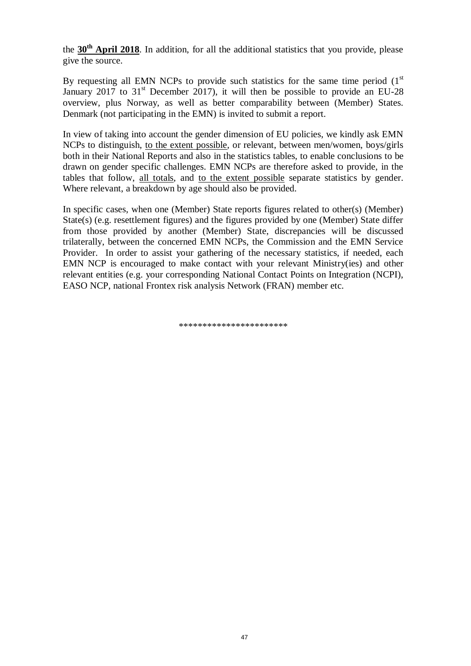the **30th April 2018**. In addition, for all the additional statistics that you provide, please give the source.

By requesting all EMN NCPs to provide such statistics for the same time period  $(1<sup>st</sup>)$ January 2017 to  $31<sup>st</sup>$  December 2017), it will then be possible to provide an EU-28 overview, plus Norway, as well as better comparability between (Member) States. Denmark (not participating in the EMN) is invited to submit a report.

In view of taking into account the gender dimension of EU policies, we kindly ask EMN NCPs to distinguish, to the extent possible, or relevant, between men/women, boys/girls both in their National Reports and also in the statistics tables, to enable conclusions to be drawn on gender specific challenges. EMN NCPs are therefore asked to provide, in the tables that follow, all totals, and to the extent possible separate statistics by gender. Where relevant, a breakdown by age should also be provided.

In specific cases, when one (Member) State reports figures related to other(s) (Member) State(s) (e.g. resettlement figures) and the figures provided by one (Member) State differ from those provided by another (Member) State, discrepancies will be discussed trilaterally, between the concerned EMN NCPs, the Commission and the EMN Service Provider. In order to assist your gathering of the necessary statistics, if needed, each EMN NCP is encouraged to make contact with your relevant Ministry(ies) and other relevant entities (e.g. your corresponding National Contact Points on Integration (NCPI), EASO NCP, national Frontex risk analysis Network (FRAN) member etc.

\*\*\*\*\*\*\*\*\*\*\*\*\*\*\*\*\*\*\*\*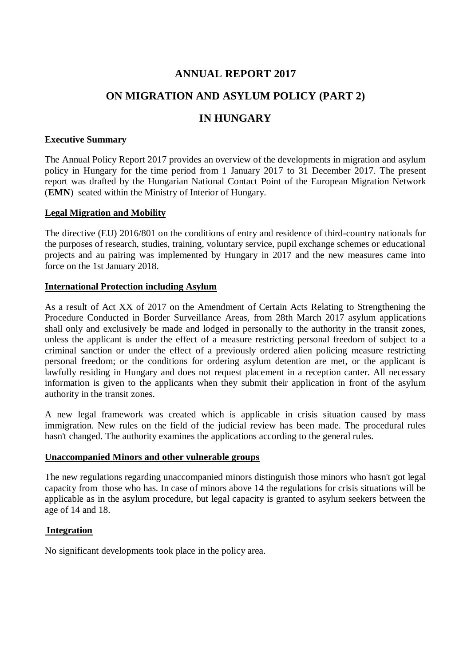# **ANNUAL REPORT 2017**

# **ON MIGRATION AND ASYLUM POLICY (PART 2)**

# **IN HUNGARY**

#### **Executive Summary**

The Annual Policy Report 2017 provides an overview of the developments in migration and asylum policy in Hungary for the time period from 1 January 2017 to 31 December 2017. The present report was drafted by the Hungarian National Contact Point of the European Migration Network (**EMN**) seated within the Ministry of Interior of Hungary.

### **Legal Migration and Mobility**

The directive (EU) 2016/801 on the conditions of entry and residence of third-country nationals for the purposes of research, studies, training, voluntary service, pupil exchange schemes or educational projects and au pairing was implemented by Hungary in 2017 and the new measures came into force on the 1st January 2018.

### **International Protection including Asylum**

As a result of Act XX of 2017 on the Amendment of Certain Acts Relating to Strengthening the Procedure Conducted in Border Surveillance Areas, from 28th March 2017 asylum applications shall only and exclusively be made and lodged in personally to the authority in the transit zones, unless the applicant is under the effect of a measure restricting personal freedom of subject to a criminal sanction or under the effect of a previously ordered alien policing measure restricting personal freedom; or the conditions for ordering asylum detention are met, or the applicant is lawfully residing in Hungary and does not request placement in a reception canter. All necessary information is given to the applicants when they submit their application in front of the asylum authority in the transit zones.

A new legal framework was created which is applicable in crisis situation caused by mass immigration. New rules on the field of the judicial review has been made. The procedural rules hasn't changed. The authority examines the applications according to the general rules.

#### **Unaccompanied Minors and other vulnerable groups**

The new regulations regarding unaccompanied minors distinguish those minors who hasn't got legal capacity from those who has. In case of minors above 14 the regulations for crisis situations will be applicable as in the asylum procedure, but legal capacity is granted to asylum seekers between the age of 14 and 18.

#### **Integration**

No significant developments took place in the policy area.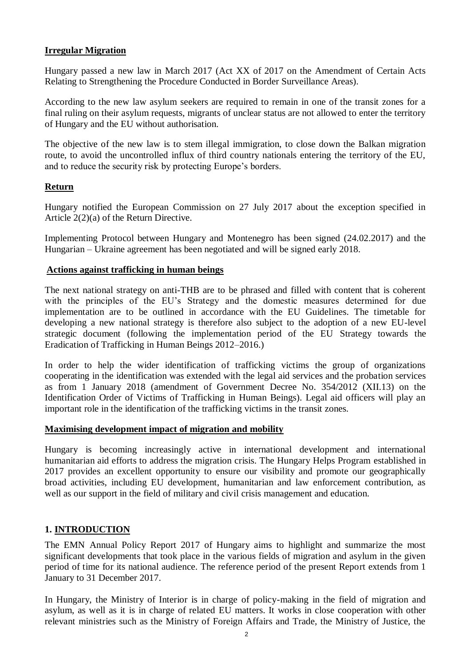# **Irregular Migration**

Hungary passed a new law in March 2017 (Act XX of 2017 on the Amendment of Certain Acts Relating to Strengthening the Procedure Conducted in Border Surveillance Areas).

According to the new law asylum seekers are required to remain in one of the transit zones for a final ruling on their asylum requests, migrants of unclear status are not allowed to enter the territory of Hungary and the EU without authorisation.

The objective of the new law is to stem illegal immigration, to close down the Balkan migration route, to avoid the uncontrolled influx of third country nationals entering the territory of the EU, and to reduce the security risk by protecting Europe's borders.

# **Return**

Hungary notified the European Commission on 27 July 2017 about the exception specified in Article 2(2)(a) of the Return Directive.

Implementing Protocol between Hungary and Montenegro has been signed (24.02.2017) and the Hungarian – Ukraine agreement has been negotiated and will be signed early 2018.

### **Actions against trafficking in human beings**

The next national strategy on anti-THB are to be phrased and filled with content that is coherent with the principles of the EU's Strategy and the domestic measures determined for due implementation are to be outlined in accordance with the EU Guidelines. The timetable for developing a new national strategy is therefore also subject to the adoption of a new EU-level strategic document (following the implementation period of the EU Strategy towards the Eradication of Trafficking in Human Beings 2012–2016.)

In order to help the wider identification of trafficking victims the group of organizations cooperating in the identification was extended with the legal aid services and the probation services as from 1 January 2018 (amendment of Government Decree No. 354/2012 (XII.13) on the Identification Order of Victims of Trafficking in Human Beings). Legal aid officers will play an important role in the identification of the trafficking victims in the transit zones.

# **Maximising development impact of migration and mobility**

Hungary is becoming increasingly active in international development and international humanitarian aid efforts to address the migration crisis. The Hungary Helps Program established in 2017 provides an excellent opportunity to ensure our visibility and promote our geographically broad activities, including EU development, humanitarian and law enforcement contribution, as well as our support in the field of military and civil crisis management and education.

# **1. INTRODUCTION**

The EMN Annual Policy Report 2017 of Hungary aims to highlight and summarize the most significant developments that took place in the various fields of migration and asylum in the given period of time for its national audience. The reference period of the present Report extends from 1 January to 31 December 2017.

In Hungary, the Ministry of Interior is in charge of policy-making in the field of migration and asylum, as well as it is in charge of related EU matters. It works in close cooperation with other relevant ministries such as the Ministry of Foreign Affairs and Trade, the Ministry of Justice, the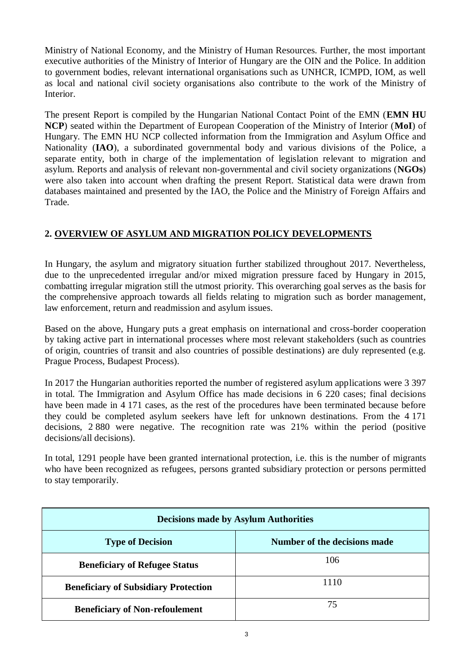Ministry of National Economy, and the Ministry of Human Resources. Further, the most important executive authorities of the Ministry of Interior of Hungary are the OIN and the Police. In addition to government bodies, relevant international organisations such as UNHCR, ICMPD, IOM, as well as local and national civil society organisations also contribute to the work of the Ministry of Interior.

The present Report is compiled by the Hungarian National Contact Point of the EMN (**EMN HU NCP**) seated within the Department of European Cooperation of the Ministry of Interior (**MoI**) of Hungary. The EMN HU NCP collected information from the Immigration and Asylum Office and Nationality (**IAO**), a subordinated governmental body and various divisions of the Police, a separate entity, both in charge of the implementation of legislation relevant to migration and asylum. Reports and analysis of relevant non-governmental and civil society organizations (**NGOs**) were also taken into account when drafting the present Report. Statistical data were drawn from databases maintained and presented by the IAO, the Police and the Ministry of Foreign Affairs and Trade.

# **2. OVERVIEW OF ASYLUM AND MIGRATION POLICY DEVELOPMENTS**

In Hungary, the asylum and migratory situation further stabilized throughout 2017. Nevertheless, due to the unprecedented irregular and/or mixed migration pressure faced by Hungary in 2015, combatting irregular migration still the utmost priority. This overarching goal serves as the basis for the comprehensive approach towards all fields relating to migration such as border management, law enforcement, return and readmission and asylum issues.

Based on the above, Hungary puts a great emphasis on international and cross-border cooperation by taking active part in international processes where most relevant stakeholders (such as countries of origin, countries of transit and also countries of possible destinations) are duly represented (e.g. Prague Process, Budapest Process).

In 2017 the Hungarian authorities reported the number of registered asylum applications were 3 397 in total. The Immigration and Asylum Office has made decisions in 6 220 cases; final decisions have been made in 4 171 cases, as the rest of the procedures have been terminated because before they could be completed asylum seekers have left for unknown destinations. From the 4 171 decisions, 2 880 were negative. The recognition rate was 21% within the period (positive decisions/all decisions).

In total, 1291 people have been granted international protection, i.e. this is the number of migrants who have been recognized as refugees, persons granted subsidiary protection or persons permitted to stay temporarily.

| <b>Decisions made by Asylum Authorities</b> |                              |  |  |
|---------------------------------------------|------------------------------|--|--|
| <b>Type of Decision</b>                     | Number of the decisions made |  |  |
| <b>Beneficiary of Refugee Status</b>        | 106                          |  |  |
| <b>Beneficiary of Subsidiary Protection</b> | 1110                         |  |  |
| <b>Beneficiary of Non-refoulement</b>       | 75                           |  |  |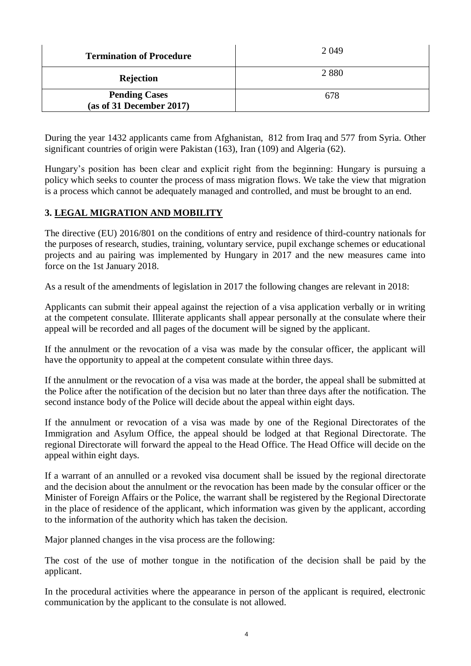| <b>Termination of Procedure</b>                  | 2 0 4 9 |
|--------------------------------------------------|---------|
| <b>Rejection</b>                                 | 2880    |
| <b>Pending Cases</b><br>(as of 31 December 2017) | 678     |

During the year 1432 applicants came from Afghanistan, 812 from Iraq and 577 from Syria. Other significant countries of origin were Pakistan (163), Iran (109) and Algeria (62).

Hungary's position has been clear and explicit right from the beginning: Hungary is pursuing a policy which seeks to counter the process of mass migration flows. We take the view that migration is a process which cannot be adequately managed and controlled, and must be brought to an end.

# **3. LEGAL MIGRATION AND MOBILITY**

The directive (EU) 2016/801 on the conditions of entry and residence of third-country nationals for the purposes of research, studies, training, voluntary service, pupil exchange schemes or educational projects and au pairing was implemented by Hungary in 2017 and the new measures came into force on the 1st January 2018.

As a result of the amendments of legislation in 2017 the following changes are relevant in 2018:

Applicants can submit their appeal against the rejection of a visa application verbally or in writing at the competent consulate. Illiterate applicants shall appear personally at the consulate where their appeal will be recorded and all pages of the document will be signed by the applicant.

If the annulment or the revocation of a visa was made by the consular officer, the applicant will have the opportunity to appeal at the competent consulate within three days.

If the annulment or the revocation of a visa was made at the border, the appeal shall be submitted at the Police after the notification of the decision but no later than three days after the notification. The second instance body of the Police will decide about the appeal within eight days.

If the annulment or revocation of a visa was made by one of the Regional Directorates of the Immigration and Asylum Office, the appeal should be lodged at that Regional Directorate. The regional Directorate will forward the appeal to the Head Office. The Head Office will decide on the appeal within eight days.

If a warrant of an annulled or a revoked visa document shall be issued by the regional directorate and the decision about the annulment or the revocation has been made by the consular officer or the Minister of Foreign Affairs or the Police, the warrant shall be registered by the Regional Directorate in the place of residence of the applicant, which information was given by the applicant, according to the information of the authority which has taken the decision.

Major planned changes in the visa process are the following:

The cost of the use of mother tongue in the notification of the decision shall be paid by the applicant.

In the procedural activities where the appearance in person of the applicant is required, electronic communication by the applicant to the consulate is not allowed.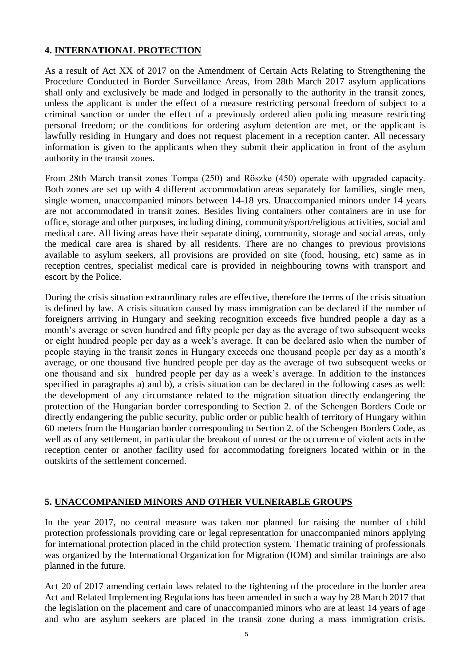# **4. INTERNATIONAL PROTECTION**

As a result of Act XX of 2017 on the Amendment of Certain Acts Relating to Strengthening the Procedure Conducted in Border Surveillance Areas, from 28th March 2017 asylum applications shall only and exclusively be made and lodged in personally to the authority in the transit zones, unless the applicant is under the effect of a measure restricting personal freedom of subject to a criminal sanction or under the effect of a previously ordered alien policing measure restricting personal freedom; or the conditions for ordering asylum detention are met, or the applicant is lawfully residing in Hungary and does not request placement in a reception canter. All necessary information is given to the applicants when they submit their application in front of the asylum authority in the transit zones.

From 28th March transit zones Tompa (250) and Röszke (450) operate with upgraded capacity. Both zones are set up with 4 different accommodation areas separately for families, single men, single women, unaccompanied minors between 14-18 yrs. Unaccompanied minors under 14 years are not accommodated in transit zones. Besides living containers other containers are in use for office, storage and other purposes, including dining, community/sport/religious activities, social and medical care. All living areas have their separate dining, community, storage and social areas, only the medical care area is shared by all residents. There are no changes to previous provisions available to asylum seekers, all provisions are provided on site (food, housing, etc) same as in reception centres, specialist medical care is provided in neighbouring towns with transport and escort by the Police.

During the crisis situation extraordinary rules are effective, therefore the terms of the crisis situation is defined by law. A crisis situation caused by mass immigration can be declared if the number of foreigners arriving in Hungary and seeking recognition exceeds five hundred people a day as a month's average or seven hundred and fifty people per day as the average of two subsequent weeks or eight hundred people per day as a week's average. It can be declared aslo when the number of people staying in the transit zones in Hungary exceeds one thousand people per day as a month's average, or one thousand five hundred people per day as the average of two subsequent weeks or one thousand and six hundred people per day as a week's average. In addition to the instances specified in paragraphs a) and b), a crisis situation can be declared in the following cases as well: the development of any circumstance related to the migration situation directly endangering the protection of the Hungarian border corresponding to Section 2. of the Schengen Borders Code or directly endangering the public security, public order or public health of territory of Hungary within 60 meters from the Hungarian border corresponding to Section 2. of the Schengen Borders Code, as well as of any settlement, in particular the breakout of unrest or the occurrence of violent acts in the reception center or another facility used for accommodating foreigners located within or in the outskirts of the settlement concerned.

# **5. UNACCOMPANIED MINORS AND OTHER VULNERABLE GROUPS**

In the year 2017, no central measure was taken nor planned for raising the number of child protection professionals providing care or legal representation for unaccompanied minors applying for international protection placed in the child protection system. Thematic training of professionals was organized by the International Organization for Migration (IOM) and similar trainings are also planned in the future.

Act 20 of 2017 amending certain laws related to the tightening of the procedure in the border area Act and Related Implementing Regulations has been amended in such a way by 28 March 2017 that the legislation on the placement and care of unaccompanied minors who are at least 14 years of age and who are asylum seekers are placed in the transit zone during a mass immigration crisis.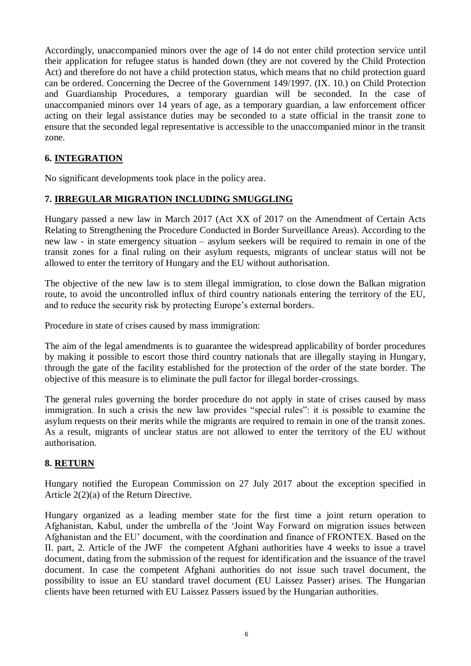Accordingly, unaccompanied minors over the age of 14 do not enter child protection service until their application for refugee status is handed down (they are not covered by the Child Protection Act) and therefore do not have a child protection status, which means that no child protection guard can be ordered. Concerning the Decree of the Government 149/1997. (IX. 10.) on Child Protection and Guardianship Procedures, a temporary guardian will be seconded. In the case of unaccompanied minors over 14 years of age, as a temporary guardian, a law enforcement officer acting on their legal assistance duties may be seconded to a state official in the transit zone to ensure that the seconded legal representative is accessible to the unaccompanied minor in the transit zone.

# **6. INTEGRATION**

No significant developments took place in the policy area.

# **7. IRREGULAR MIGRATION INCLUDING SMUGGLING**

Hungary passed a new law in March 2017 (Act XX of 2017 on the Amendment of Certain Acts Relating to Strengthening the Procedure Conducted in Border Surveillance Areas). According to the new law - in state emergency situation – asylum seekers will be required to remain in one of the transit zones for a final ruling on their asylum requests, migrants of unclear status will not be allowed to enter the territory of Hungary and the EU without authorisation.

The objective of the new law is to stem illegal immigration, to close down the Balkan migration route, to avoid the uncontrolled influx of third country nationals entering the territory of the EU, and to reduce the security risk by protecting Europe's external borders.

Procedure in state of crises caused by mass immigration:

The aim of the legal amendments is to guarantee the widespread applicability of border procedures by making it possible to escort those third country nationals that are illegally staying in Hungary, through the gate of the facility established for the protection of the order of the state border. The objective of this measure is to eliminate the pull factor for illegal border-crossings.

The general rules governing the border procedure do not apply in state of crises caused by mass immigration. In such a crisis the new law provides "special rules": it is possible to examine the asylum requests on their merits while the migrants are required to remain in one of the transit zones. As a result, migrants of unclear status are not allowed to enter the territory of the EU without authorisation.

# **8. RETURN**

Hungary notified the European Commission on 27 July 2017 about the exception specified in Article 2(2)(a) of the Return Directive.

Hungary organized as a leading member state for the first time a joint return operation to Afghanistan, Kabul, under the umbrella of the 'Joint Way Forward on migration issues between Afghanistan and the EU' document, with the coordination and finance of FRONTEX. Based on the II. part, 2. Article of the JWF the competent Afghani authorities have 4 weeks to issue a travel document, dating from the submission of the request for identification and the issuance of the travel document. In case the competent Afghani authorities do not issue such travel document, the possibility to issue an EU standard travel document (EU Laissez Passer) arises. The Hungarian clients have been returned with EU Laissez Passers issued by the Hungarian authorities.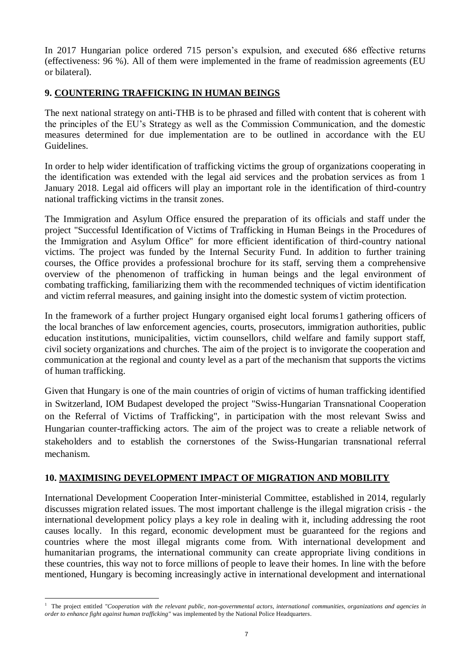In 2017 Hungarian police ordered 715 person's expulsion, and executed 686 effective returns (effectiveness: 96 %). All of them were implemented in the frame of readmission agreements (EU or bilateral).

# **9. COUNTERING TRAFFICKING IN HUMAN BEINGS**

The next national strategy on anti-THB is to be phrased and filled with content that is coherent with the principles of the EU's Strategy as well as the Commission Communication, and the domestic measures determined for due implementation are to be outlined in accordance with the EU Guidelines.

In order to help wider identification of trafficking victims the group of organizations cooperating in the identification was extended with the legal aid services and the probation services as from 1 January 2018. Legal aid officers will play an important role in the identification of third-country national trafficking victims in the transit zones.

The Immigration and Asylum Office ensured the preparation of its officials and staff under the project "Successful Identification of Victims of Trafficking in Human Beings in the Procedures of the Immigration and Asylum Office" for more efficient identification of third-country national victims. The project was funded by the Internal Security Fund. In addition to further training courses, the Office provides a professional brochure for its staff, serving them a comprehensive overview of the phenomenon of trafficking in human beings and the legal environment of combating trafficking, familiarizing them with the recommended techniques of victim identification and victim referral measures, and gaining insight into the domestic system of victim protection.

In the framework of a further project Hungary organised eight local forums1 gathering officers of the local branches of law enforcement agencies, courts, prosecutors, immigration authorities, public education institutions, municipalities, victim counsellors, child welfare and family support staff, civil society organizations and churches. The aim of the project is to invigorate the cooperation and communication at the regional and county level as a part of the mechanism that supports the victims of human trafficking.

Given that Hungary is one of the main countries of origin of victims of human trafficking identified in Switzerland, IOM Budapest developed the project "Swiss-Hungarian Transnational Cooperation on the Referral of Victims of Trafficking", in participation with the most relevant Swiss and Hungarian counter-trafficking actors. The aim of the project was to create a reliable network of stakeholders and to establish the cornerstones of the Swiss-Hungarian transnational referral mechanism.

# **10. MAXIMISING DEVELOPMENT IMPACT OF MIGRATION AND MOBILITY**

International Development Cooperation Inter-ministerial Committee, established in 2014, regularly discusses migration related issues. The most important challenge is the illegal migration crisis - the international development policy plays a key role in dealing with it, including addressing the root causes locally. In this regard, economic development must be guaranteed for the regions and countries where the most illegal migrants come from. With international development and humanitarian programs, the international community can create appropriate living conditions in these countries, this way not to force millions of people to leave their homes. In line with the before mentioned, Hungary is becoming increasingly active in international development and international

<u>.</u>

<sup>&</sup>lt;sup>1</sup> The project entitled *"Cooperation with the relevant public, non-governmental actors, international communities, organizations and agencies in order to enhance fight against human trafficking"* was implemented by the National Police Headquarters.